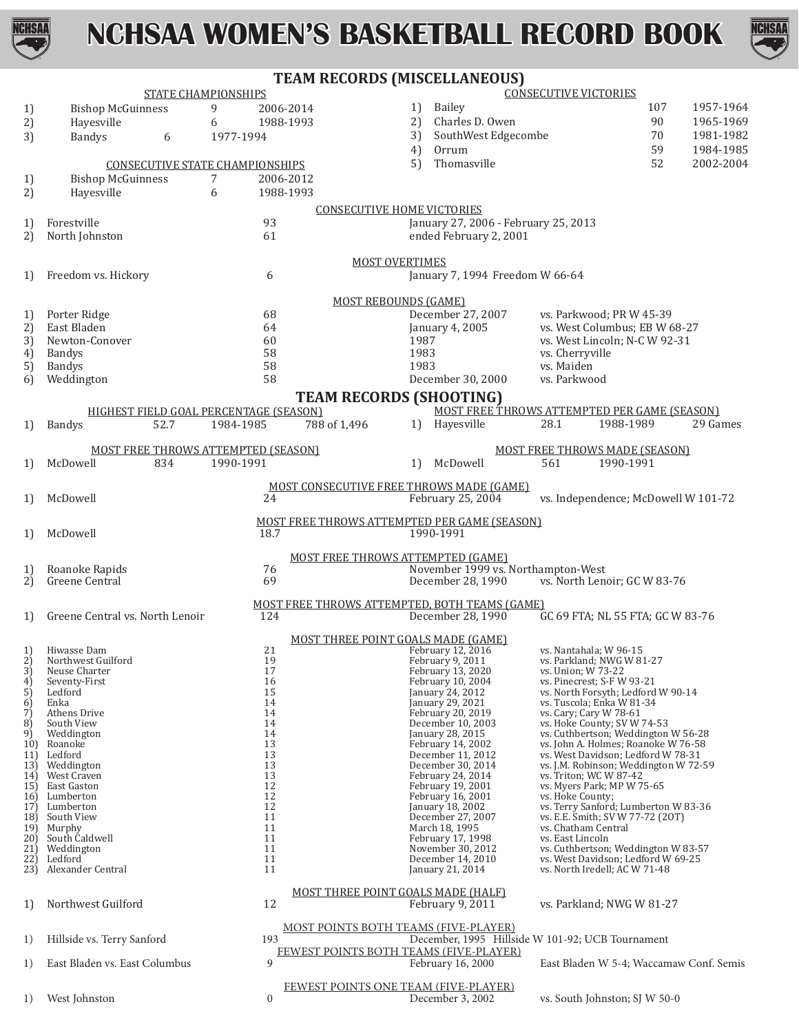



### **TEAM RECORDS (MISCELLANEOUS)**

|                  |                                   |      | <b>STATE CHAMPIONSHIPS</b>                    |                                               |                                   |                                                  | <b>CONSECUTIVE VICTORIES</b> |                                                                            |     |                                         |
|------------------|-----------------------------------|------|-----------------------------------------------|-----------------------------------------------|-----------------------------------|--------------------------------------------------|------------------------------|----------------------------------------------------------------------------|-----|-----------------------------------------|
| 1)               | <b>Bishop McGuinness</b>          |      | 9                                             | 2006-2014                                     | 1)                                | Bailey                                           |                              |                                                                            | 107 | 1957-1964                               |
| 2)               | Hayesville                        |      | 6                                             | 1988-1993                                     | 2)                                | Charles D. Owen                                  |                              |                                                                            | 90  | 1965-1969                               |
| 3)               | <b>Bandys</b>                     | 6    | 1977-1994                                     |                                               | 3)                                | SouthWest Edgecombe                              |                              |                                                                            | 70  | 1981-1982                               |
|                  |                                   |      |                                               |                                               | 4)                                | Orrum                                            |                              |                                                                            | 59  | 1984-1985                               |
|                  |                                   |      | <b>CONSECUTIVE STATE CHAMPIONSHIPS</b>        |                                               | 5)                                | Thomasville                                      |                              |                                                                            | 52  | 2002-2004                               |
| 1)               | <b>Bishop McGuinness</b>          |      | $\overline{7}$                                | 2006-2012                                     |                                   |                                                  |                              |                                                                            |     |                                         |
| 2)               | Hayesville                        |      | 6                                             | 1988-1993                                     |                                   |                                                  |                              |                                                                            |     |                                         |
|                  |                                   |      |                                               |                                               | <b>CONSECUTIVE HOME VICTORIES</b> |                                                  |                              |                                                                            |     |                                         |
| 1)               | Forestville                       |      | 93                                            |                                               |                                   | January 27, 2006 - February 25, 2013             |                              |                                                                            |     |                                         |
| 2)               | North Johnston                    |      | 61                                            |                                               |                                   | ended February 2, 2001                           |                              |                                                                            |     |                                         |
|                  |                                   |      |                                               |                                               | <b>MOST OVERTIMES</b>             |                                                  |                              |                                                                            |     |                                         |
| 1)               | Freedom vs. Hickory               |      | 6                                             |                                               |                                   | January 7, 1994 Freedom W 66-64                  |                              |                                                                            |     |                                         |
|                  |                                   |      |                                               |                                               |                                   |                                                  |                              |                                                                            |     |                                         |
|                  |                                   |      |                                               |                                               | <b>MOST REBOUNDS (GAME)</b>       |                                                  |                              |                                                                            |     |                                         |
| 1)               | Porter Ridge                      |      | 68                                            |                                               |                                   | December 27, 2007                                |                              | vs. Parkwood; PR W 45-39                                                   |     |                                         |
| 2)               | East Bladen                       |      | 64                                            |                                               |                                   | January 4, 2005                                  |                              | vs. West Columbus; EB W 68-27                                              |     |                                         |
| 3)               | Newton-Conover                    |      | 60                                            |                                               | 1987                              |                                                  |                              | vs. West Lincoln; N-C W 92-31                                              |     |                                         |
| 4)               | <b>Bandys</b>                     |      | 58                                            |                                               | 1983                              |                                                  | vs. Cherryville              |                                                                            |     |                                         |
| 5)               | <b>Bandys</b>                     |      | 58                                            |                                               | 1983                              |                                                  | vs. Maiden                   |                                                                            |     |                                         |
| 6)               | Weddington                        |      | 58                                            |                                               |                                   | December 30, 2000                                | vs. Parkwood                 |                                                                            |     |                                         |
|                  |                                   |      |                                               | <b>TEAM RECORDS (SHOOTING)</b>                |                                   |                                                  |                              |                                                                            |     |                                         |
|                  |                                   |      | <b>HIGHEST FIELD GOAL PERCENTAGE (SEASON)</b> |                                               |                                   | MOST FREE THROWS ATTEMPTED PER GAME (SEASON)     |                              |                                                                            |     |                                         |
| 1)               | <b>Bandys</b>                     | 52.7 | 1984-1985                                     | 788 of 1,496                                  | 1)                                | Hayesville                                       | 28.1                         | 1988-1989                                                                  |     | 29 Games                                |
|                  |                                   |      | <b>MOST FREE THROWS ATTEMPTED (SEASON)</b>    |                                               |                                   |                                                  |                              | <b>MOST FREE THROWS MADE (SEASON)</b>                                      |     |                                         |
| 1)               | McDowell                          | 834  | 1990-1991                                     |                                               | 1)                                | McDowell                                         | 561                          | 1990-1991                                                                  |     |                                         |
|                  |                                   |      |                                               |                                               |                                   |                                                  |                              |                                                                            |     |                                         |
|                  |                                   |      |                                               | MOST CONSECUTIVE FREE THROWS MADE (GAME)      |                                   |                                                  |                              |                                                                            |     |                                         |
| 1)               | McDowell                          |      | 24                                            |                                               |                                   | February 25, 2004                                |                              | vs. Independence; McDowell W 101-72                                        |     |                                         |
|                  |                                   |      |                                               | MOST FREE THROWS ATTEMPTED PER GAME (SEASON)  |                                   |                                                  |                              |                                                                            |     |                                         |
| 1)               | McDowell                          |      | 18.7                                          |                                               |                                   | 1990-1991                                        |                              |                                                                            |     |                                         |
|                  |                                   |      |                                               |                                               |                                   |                                                  |                              |                                                                            |     |                                         |
| 1)               | Roanoke Rapids                    |      | 76                                            | MOST FREE THROWS ATTEMPTED (GAME)             |                                   | November 1999 vs. Northampton-West               |                              |                                                                            |     |                                         |
| $2\tilde{ }$     | Greene Central                    |      | 69                                            |                                               |                                   | December 28, 1990                                |                              | vs. North Lenoir; GC W 83-76                                               |     |                                         |
|                  |                                   |      |                                               |                                               |                                   |                                                  |                              |                                                                            |     |                                         |
| 1)               | Greene Central vs. North Lenoir   |      | 124                                           | MOST FREE THROWS ATTEMPTED, BOTH TEAMS (GAME) |                                   | December 28, 1990                                |                              | GC 69 FTA; NL 55 FTA; GC W 83-76                                           |     |                                         |
|                  |                                   |      |                                               |                                               |                                   |                                                  |                              |                                                                            |     |                                         |
|                  |                                   |      |                                               | MOST THREE POINT GOALS MADE (GAME)            |                                   |                                                  |                              |                                                                            |     |                                         |
| 1)<br>2)         | Hiwasse Dam<br>Northwest Guilford |      | 21<br>19                                      |                                               |                                   | February 12, 2016<br>February 9, 2011            |                              | vs. Nantahala; W 96-15<br>vs. Parkland; NWG W 81-27                        |     |                                         |
| 3 <sup>5</sup>   | Neuse Charter                     |      | 17                                            |                                               |                                   | February 13, 2020                                | vs. Union; W 73-22           |                                                                            |     |                                         |
| 4)               | Seventy-First                     |      | 16                                            |                                               |                                   | February 10, 2004                                |                              | vs. Pinecrest; S-F W 93-21                                                 |     |                                         |
| $\sqrt{5}$<br>6) | Ledford<br>Enka                   |      | 15<br>14                                      |                                               |                                   | January 24, 2012<br>January 29, 2021             |                              | vs. North Forsyth; Ledford W 90-14<br>vs. Tuscola; Enka W 81-34            |     |                                         |
| 7)               | Athens Drive                      |      | 14                                            |                                               |                                   | February 20, 2019                                |                              | vs. Cary; Cary W 78-61                                                     |     |                                         |
| 8 <sup>5</sup>   | South View                        |      | 14                                            |                                               |                                   | December 10, 2003                                |                              | vs. Hoke County; SV W 74-53                                                |     |                                         |
| 9)<br>10)        | Weddington<br>Roanoke             |      | 14<br>13                                      |                                               |                                   | January 28, 2015<br>February 14, 2002            |                              | vs. Cuthbertson; Weddington W 56-28<br>vs. John A. Holmes; Roanoke W 76-58 |     |                                         |
| 11)              | Ledford                           |      | 13                                            |                                               |                                   | December 11, 2012                                |                              | vs. West Davidson; Ledford W 78-31                                         |     |                                         |
| 13)              | Weddington                        |      | 13                                            |                                               |                                   | December 30, 2014                                |                              | vs. J.M. Robinson; Weddington W 72-59                                      |     |                                         |
| 14)<br>15)       | West Craven<br>East Gaston        |      | 13<br>12                                      |                                               |                                   | February 24, 2014<br>February 19, 2001           |                              | vs. Triton; WC W 87-42<br>vs. Myers Park; MP W 75-65                       |     |                                         |
|                  | 16) Lumberton                     |      | 12                                            |                                               |                                   | February 16, 2001                                | vs. Hoke County;             |                                                                            |     |                                         |
| 17)              | Lumberton                         |      | 12                                            |                                               |                                   | January 18, 2002                                 |                              | vs. Terry Sanford; Lumberton W 83-36                                       |     |                                         |
| 18)<br>19)       | South View<br>Murphy              |      | 11<br>11                                      |                                               |                                   | December 27, 2007<br>March 18, 1995              | vs. Chatham Central          | vs. E.E. Smith; SV W 77-72 (20T)                                           |     |                                         |
| 20)              | South Caldwell                    |      | 11                                            |                                               |                                   | February 17, 1998                                | vs. East Lincoln             |                                                                            |     |                                         |
| 21)              | Weddington                        |      | 11                                            |                                               |                                   | November 30, 2012                                |                              | vs. Cuthbertson; Weddington W 83-57                                        |     |                                         |
| 22)<br>23)       | Ledford<br>Alexander Central      |      | 11<br>11                                      |                                               |                                   | December 14, 2010<br>January 21, 2014            |                              | vs. West Davidson; Ledford W 69-25<br>vs. North Iredell; AC W 71-48        |     |                                         |
|                  |                                   |      |                                               |                                               |                                   |                                                  |                              |                                                                            |     |                                         |
|                  |                                   |      |                                               | MOST THREE POINT GOALS MADE (HALF)            |                                   |                                                  |                              |                                                                            |     |                                         |
| 1)               | Northwest Guilford                |      | 12                                            |                                               |                                   | February 9, 2011                                 |                              | vs. Parkland; NWG W 81-27                                                  |     |                                         |
|                  |                                   |      |                                               | <b>MOST POINTS BOTH TEAMS (FIVE-PLAYER)</b>   |                                   |                                                  |                              |                                                                            |     |                                         |
| 1)               | Hillside vs. Terry Sanford        |      | 193                                           |                                               |                                   | December, 1995 Hillside W 101-92; UCB Tournament |                              |                                                                            |     |                                         |
|                  |                                   |      | $\mathbf{Q}$                                  | FEWEST POINTS BOTH TEAMS (FIVE-PLAYER)        |                                   |                                                  |                              |                                                                            |     |                                         |
| 1)               | East Bladen vs. East Columbus     |      |                                               |                                               |                                   | February 16, 2000                                |                              |                                                                            |     | East Bladen W 5-4; Waccamaw Conf. Semis |
|                  |                                   |      |                                               | FEWEST POINTS ONE TEAM (FIVE-PLAYER)          |                                   |                                                  |                              |                                                                            |     |                                         |
| 1)               | West Johnston                     |      | $\boldsymbol{0}$                              |                                               |                                   | December 3, 2002                                 |                              | vs. South Johnston; SJ W 50-0                                              |     |                                         |
|                  |                                   |      |                                               |                                               |                                   |                                                  |                              |                                                                            |     |                                         |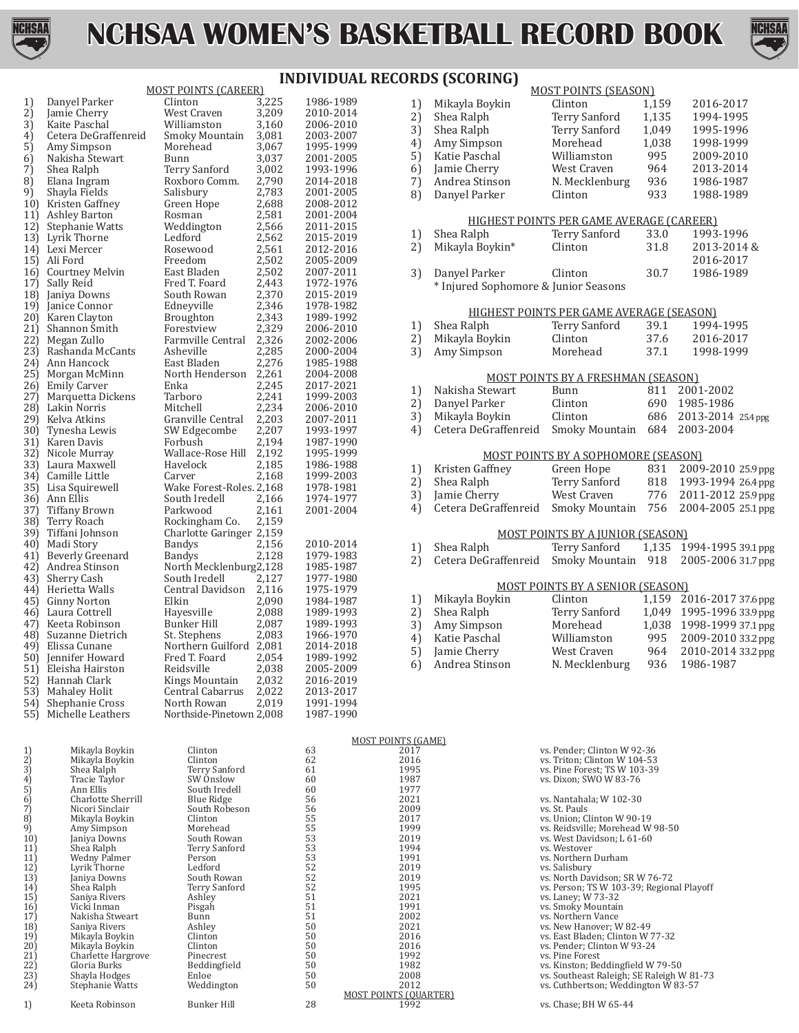



#### **INDIVIDUAL RECO**

|            |                                                                   | <b>MOST POINTS (CAREER)</b>                                                                                                                                                                                                                 |                |                        |
|------------|-------------------------------------------------------------------|---------------------------------------------------------------------------------------------------------------------------------------------------------------------------------------------------------------------------------------------|----------------|------------------------|
| 1)         | Danyel Parker                                                     | Clinton                                                                                                                                                                                                                                     | 3,225          | 1986-1989              |
| 2)         | Jamie Cherry                                                      | West Craven                                                                                                                                                                                                                                 | 3,209          | 2010-2014              |
| 3)         | Kaite Paschal                                                     | Williamston                                                                                                                                                                                                                                 | 3,160          | 2006-2010              |
| 4)         | Cetera DeGraffenreid                                              | Smoky Mountain                                                                                                                                                                                                                              | 3,081          | 2003-2007              |
| 5)         | Amy Simpson                                                       | Morehead<br>Bunn                                                                                                                                                                                                                            | 3,067          | 1995-1999              |
| 6)<br>7)   | Nakisha Stewart<br>Shea Ralph                                     | <b>Terry Sanford</b>                                                                                                                                                                                                                        | 3,037<br>3,002 | 2001-2005<br>1993-1996 |
| 8)         | Elana Ingram                                                      | Roxboro Comm.                                                                                                                                                                                                                               | 2,790          | 2014-2018              |
| 9)         | Shayla Fields                                                     | Salisbury                                                                                                                                                                                                                                   | 2,783          | 2001-2005              |
| 10)        | Kristen Gaffney                                                   | Green Hope                                                                                                                                                                                                                                  | 2,688          | 2008-2012              |
| 11)        | <b>Ashley Barton</b>                                              | Rosman                                                                                                                                                                                                                                      | 2,581          | 2001-2004              |
| 12)        | Stephanie Watts                                                   | Weddington                                                                                                                                                                                                                                  | 2,566          | 2011-2015              |
| 13)        | Lyrik Thorne                                                      | Ledford                                                                                                                                                                                                                                     | 2,562          | 2015-2019              |
| 14)        | Lexi Mercer                                                       | Rosewood                                                                                                                                                                                                                                    | 2,561          | 2012-2016              |
| 15)        | Ali Ford                                                          | Freedom                                                                                                                                                                                                                                     | 2,502<br>2,502 | 2005-2009              |
| 16)<br>17) | Courtney Melvin<br>Sally Reid                                     | East Bladen<br>Fred T. Foard                                                                                                                                                                                                                | 2,443          | 2007-2011<br>1972-1976 |
| 18)        | Janiya Downs                                                      | South Rowan                                                                                                                                                                                                                                 | 2,370          | 2015-2019              |
| 19)        | Janice Connor                                                     | Edneyville                                                                                                                                                                                                                                  | 2,346          | 1978-1982              |
| 20)        | Karen Clayton                                                     | Broughton                                                                                                                                                                                                                                   | 2,343          | 1989-1992              |
| 21)        | Shannon Smith                                                     | Forestview                                                                                                                                                                                                                                  | 2,329          | 2006-2010              |
| 22)        | Megan Zullo                                                       | Farmville Central                                                                                                                                                                                                                           | 2,326          | 2002-2006              |
| 23)        | Rashanda McCants                                                  | Asheville                                                                                                                                                                                                                                   | 2,285          | 2000-2004              |
|            | 24) Ann Hancock                                                   | East Bladen                                                                                                                                                                                                                                 | 2,276          | 1985-1988              |
|            | 25) Morgan McMinn                                                 | North Henderson                                                                                                                                                                                                                             | 2,261          | 2004-2008              |
|            | 26) Emily Carver                                                  | Enka<br>Tarboro                                                                                                                                                                                                                             | 2,245          | 2017-2021<br>1999-2003 |
| 28)        | 27) Marquetta Dickens<br>Lakin Norris                             | Mitchell                                                                                                                                                                                                                                    | 2,241<br>2,234 | 2006-2010              |
| 29)        | Kelva Atkins                                                      | Granville Central                                                                                                                                                                                                                           | 2,203          | 2007-2011              |
| 30)        | Tynesha Lewis                                                     | SW Edgecombe                                                                                                                                                                                                                                | 2,207          | 1993-1997              |
| 31)        | Karen Davis                                                       | Forbush                                                                                                                                                                                                                                     | 2,194          | 1987-1990              |
| 32)        | Nicole Murray                                                     | Wallace-Rose Hill                                                                                                                                                                                                                           | 2,192          | 1995-1999              |
| 33)        | Laura Maxwell                                                     | Havelock                                                                                                                                                                                                                                    | 2,185          | 1986-1988              |
| 34)        | Camille Little                                                    | Carver                                                                                                                                                                                                                                      | 2,168          | 1999-2003              |
|            | 35) Lisa Squirewell                                               | Wake Forest-Roles. 2,168                                                                                                                                                                                                                    |                | 1978-1981              |
| 36)<br>37) | Ann Ellis<br>Tiffany Brown                                        | South Iredell<br>Parkwood                                                                                                                                                                                                                   | 2,166<br>2,161 | 1974-1977<br>2001-2004 |
| 38)        | Terry Roach                                                       | Rockingham Co.                                                                                                                                                                                                                              | 2,159          |                        |
| 39)        | Tiffani Johnson                                                   | Charlotte Garinger 2,159                                                                                                                                                                                                                    |                |                        |
| 40)        | Madi Story                                                        | <b>Bandys</b>                                                                                                                                                                                                                               | 2,156          | 2010-2014              |
| 41)        | Beverly Greenard                                                  | <b>Bandys</b>                                                                                                                                                                                                                               | 2,128          | 1979-1983              |
| 42)        | Andrea Stinson                                                    | North Mecklenburg2,128                                                                                                                                                                                                                      |                | 1985-1987              |
| 43)        | Sherry Cash<br>44) Herietta Walls                                 | South Iredell<br>Central Davidson                                                                                                                                                                                                           | 2,127<br>2,116 | 1977-1980<br>1975-1979 |
|            | 45) Ginny Norton                                                  | Elkin                                                                                                                                                                                                                                       | 2,090          | 1984-1987              |
|            | 46) Laura Cottrell                                                | Hayesville                                                                                                                                                                                                                                  | 2,088          | 1989-1993              |
|            | 47) Keeta Robinson                                                | Hayes<br>Bunker Hill<br>Thans                                                                                                                                                                                                               | 2,087          | 1989-1993              |
| 48)        | Suzanne Dietrich                                                  | St. Stephens                                                                                                                                                                                                                                | 2,083          | 1966-1970              |
| 49)        | Elissa Cunane                                                     | Northern Guilford 2,081                                                                                                                                                                                                                     |                | 2014-2018              |
| 50)        | Jennifer Howard                                                   | Fred T. Foard                                                                                                                                                                                                                               | 2,054          | 1989-1992              |
|            | 51) Eleisha Hairston                                              | Reidsville                                                                                                                                                                                                                                  | 2,038          | 2005-2009              |
|            | 52) Hannah Clark                                                  |                                                                                                                                                                                                                                             |                |                        |
|            |                                                                   |                                                                                                                                                                                                                                             |                |                        |
|            | 53) Mahaley Holit<br>54) Shephanie Cross<br>55) Michelle Leathers | Kings Mountain<br>2,032 2016-2019<br>Central Cabarrus 2,022 2013-2017<br>North Rowan 2,019 1991-1994<br>Northside-Pinetown 2,008 1987-1990                                                                                                  |                |                        |
|            |                                                                   |                                                                                                                                                                                                                                             |                |                        |
|            |                                                                   |                                                                                                                                                                                                                                             |                | MOS'                   |
| 1)         | Mikayla Boykin                                                    | Clinton                                                                                                                                                                                                                                     |                | 63                     |
| 2)<br>3)   | Mikayla Boykin<br>Shea Ralph                                      | Clinton                                                                                                                                                                                                                                     |                | 62<br>61               |
| 4)         | Tracie Taylor                                                     | Terry Sanford<br>SW Onslow                                                                                                                                                                                                                  |                | 60                     |
| 5)         | Ann Ellis                                                         |                                                                                                                                                                                                                                             |                | 60                     |
| 6)<br>7)   | Charlotte Sherrill<br>Nicori Sinclair                             |                                                                                                                                                                                                                                             |                | 56<br>56               |
| 8)         | Mikayla Boykin                                                    |                                                                                                                                                                                                                                             |                | 55                     |
| 9)         | Amy Simpson                                                       |                                                                                                                                                                                                                                             |                | 55                     |
| 10)        | Janiya Downs                                                      |                                                                                                                                                                                                                                             |                | 53                     |
| 11)<br>11) | Shea Ralph<br>Wedny Palmer                                        |                                                                                                                                                                                                                                             |                | 53<br>53               |
| 12)        | Lyrik Thorne                                                      |                                                                                                                                                                                                                                             |                | 52                     |
| 13)        | Janiya Downs                                                      |                                                                                                                                                                                                                                             |                | 52                     |
| 14)<br>15) | Shea Ralph<br>Saniya Rivers                                       |                                                                                                                                                                                                                                             |                | 52<br>51               |
| 16)        | Vicki Inman                                                       |                                                                                                                                                                                                                                             |                | 51                     |
| 17)        | Nakisha Stweart                                                   | SW Onslow<br>South Iredell<br>Blue Ridge<br>Blue Rideson<br>Clinton<br>Morehead<br>South Rowan<br>Terry Sanford<br>Person<br>Ledford<br>South Rowan<br>Terry Sanford<br>Ashley<br>Pisgah<br>Bunn<br>Ashley<br>Clinton<br>Clinton<br>Clinton |                | 51                     |
| 18)<br>19) | Saniya Rivers<br>Mikayla Boykin                                   |                                                                                                                                                                                                                                             |                | 50<br>50               |
| 20)        | Mikayla Boykin                                                    | Clinton                                                                                                                                                                                                                                     |                | 50                     |

|    | <b>ETBALL RECORD BOOK</b>            |                                            |       | NGHS               |
|----|--------------------------------------|--------------------------------------------|-------|--------------------|
|    |                                      |                                            |       |                    |
|    | <b>RDS (SCORING)</b>                 |                                            |       |                    |
|    |                                      | <b>MOST POINTS (SEASON)</b>                |       |                    |
| 1) | Mikayla Boykin                       | Clinton                                    | 1,159 | 2016-2017          |
| 2) | Shea Ralph                           | <b>Terry Sanford</b>                       | 1,135 | 1994-1995          |
| 3) | Shea Ralph                           | <b>Terry Sanford</b>                       | 1,049 | 1995-1996          |
| 4) | Amy Simpson                          | Morehead                                   | 1,038 | 1998-1999          |
| 5) | Katie Paschal                        | Williamston                                | 995   | 2009-2010          |
| 6) | Jamie Cherry                         | West Craven                                | 964   | 2013-2014          |
| 7) | Andrea Stinson                       | N. Mecklenburg                             | 936   | 1986-1987          |
| 8) | Danyel Parker                        | Clinton                                    | 933   | 1988-1989          |
|    |                                      | HIGHEST POINTS PER GAME AVERAGE (CAREER)   |       |                    |
| 1) | Shea Ralph                           | <b>Terry Sanford</b>                       | 33.0  | 1993-1996          |
| 2) | Mikayla Boykin*                      | Clinton                                    | 31.8  | 2013-2014 &        |
|    |                                      |                                            |       | 2016-2017          |
| 3) | Danyel Parker                        | Clinton                                    | 30.7  | 1986-1989          |
|    | * Injured Sophomore & Junior Seasons |                                            |       |                    |
|    |                                      | HIGHEST POINTS PER GAME AVERAGE (SEASON)   |       |                    |
| 1) | Shea Ralph                           | <b>Terry Sanford</b>                       | 39.1  | 1994-1995          |
| 2) | Mikayla Boykin                       | Clinton                                    | 37.6  | 2016-2017          |
| 3) | Amy Simpson                          | Morehead                                   | 37.1  | 1998-1999          |
|    |                                      | MOST POINTS BY A FRESHMAN (SEASON)         |       |                    |
| 1) | Nakisha Stewart                      | Bunn                                       | 811   | 2001-2002          |
| 2) | Danyel Parker                        | Clinton                                    | 690   | 1985-1986          |
| 3) | Mikayla Boykin                       | Clinton                                    | 686   | 2013-2014 25.4 ppg |
| 4) | Cetera DeGraffenreid                 | Smoky Mountain                             | 684   | 2003-2004          |
|    |                                      |                                            |       |                    |
|    |                                      | <b>MOST POINTS BY A SOPHOMORE (SEASON)</b> |       |                    |
| 1) | Kristen Gaffney                      | Green Hope                                 | 831   | 2009-2010 25.9 ppg |
| 2) | Shea Ralph                           | <b>Terry Sanford</b>                       | 818   | 1993-1994 26.4 ppg |

| 2) Shea Ralph                                                 | Terry Sanford | 818 1993-1994 26.4 ppg |
|---------------------------------------------------------------|---------------|------------------------|
| 3) Iamie Cherry                                               | West Craven   | 776 2011-2012 25.9 ppg |
| 4) Cetera DeGraffenreid Smoky Mountain 756 2004-2005 25.1 ppg |               |                        |

#### MOST POINTS BY A JUNIOR (SEASON)

 $\sim$   $\sim$ 

| 1) Shea Ralph                                                 | Terry Sanford | 1,135 1994-1995 39.1 ppg |
|---------------------------------------------------------------|---------------|--------------------------|
| 2) Cetera DeGraffenreid Smoky Mountain 918 2005-2006 31.7 ppg |               |                          |

#### MOST POINTS BY A SENIOR (SEASON)

| 1) | Mikayla Boykin | Clinton        |     | 1,159 2016-2017 37.6 ppg |
|----|----------------|----------------|-----|--------------------------|
| 2) | Shea Ralph     | Terry Sanford  |     | 1,049 1995-1996 33.9 ppg |
| 3) | Amy Simpson    | Morehead       |     | 1,038 1998-1999 37.1 ppg |
| 4) | Katie Paschal  | Williamston    |     | 995 2009-2010 33.2 ppg   |
| 5) | Jamie Cherry   | West Craven    |     | 964 2010-2014 33.2 ppg   |
| 6) | Andrea Stinson | N. Mecklenburg | 936 | 1986-1987                |

|                    |                                                                                                                                                                                                                                                                                                                                   |                                                                                                                                                                                                           | 2017                                                                                                                       | vs. Pender; Clinton W 92-36                                                                                                                                                                       |
|--------------------|-----------------------------------------------------------------------------------------------------------------------------------------------------------------------------------------------------------------------------------------------------------------------------------------------------------------------------------|-----------------------------------------------------------------------------------------------------------------------------------------------------------------------------------------------------------|----------------------------------------------------------------------------------------------------------------------------|---------------------------------------------------------------------------------------------------------------------------------------------------------------------------------------------------|
|                    | Clinton                                                                                                                                                                                                                                                                                                                           | 62                                                                                                                                                                                                        |                                                                                                                            | vs. Triton; Clinton W 104-53                                                                                                                                                                      |
|                    |                                                                                                                                                                                                                                                                                                                                   | 61                                                                                                                                                                                                        | 1995                                                                                                                       | vs. Pine Forest; TS W 103-39                                                                                                                                                                      |
|                    | SW Onslow                                                                                                                                                                                                                                                                                                                         | 60                                                                                                                                                                                                        | 1987                                                                                                                       | vs. Dixon; SWO W 83-76                                                                                                                                                                            |
| Ann Ellis          | South Iredell                                                                                                                                                                                                                                                                                                                     | 60                                                                                                                                                                                                        | 1977                                                                                                                       |                                                                                                                                                                                                   |
| Charlotte Sherrill | <b>Blue Ridge</b>                                                                                                                                                                                                                                                                                                                 |                                                                                                                                                                                                           | 2021                                                                                                                       | vs. Nantahala; W 102-30                                                                                                                                                                           |
| Nicori Sinclair    | South Robeson                                                                                                                                                                                                                                                                                                                     | 56                                                                                                                                                                                                        | 2009                                                                                                                       | vs. St. Pauls                                                                                                                                                                                     |
| Mikayla Boykin     | Clinton                                                                                                                                                                                                                                                                                                                           |                                                                                                                                                                                                           | 2017                                                                                                                       | vs. Union; Clinton W 90-19                                                                                                                                                                        |
| Amy Simpson        | Morehead                                                                                                                                                                                                                                                                                                                          |                                                                                                                                                                                                           | 1999                                                                                                                       | vs. Reidsville; Morehead W 98-50                                                                                                                                                                  |
| Janiya Downs       | South Rowan                                                                                                                                                                                                                                                                                                                       |                                                                                                                                                                                                           | 2019                                                                                                                       | vs. West Davidson; L 61-60                                                                                                                                                                        |
| Shea Ralph         | Terry Sanford                                                                                                                                                                                                                                                                                                                     |                                                                                                                                                                                                           |                                                                                                                            | vs. Westover                                                                                                                                                                                      |
|                    | Person                                                                                                                                                                                                                                                                                                                            |                                                                                                                                                                                                           |                                                                                                                            | vs. Northern Durham                                                                                                                                                                               |
|                    |                                                                                                                                                                                                                                                                                                                                   |                                                                                                                                                                                                           |                                                                                                                            | vs. Salisbury                                                                                                                                                                                     |
|                    |                                                                                                                                                                                                                                                                                                                                   |                                                                                                                                                                                                           |                                                                                                                            | vs. North Davidson; SR W 76-72                                                                                                                                                                    |
|                    |                                                                                                                                                                                                                                                                                                                                   |                                                                                                                                                                                                           |                                                                                                                            | vs. Person; TS W 103-39; Regional Playoff                                                                                                                                                         |
|                    |                                                                                                                                                                                                                                                                                                                                   |                                                                                                                                                                                                           |                                                                                                                            | vs. Laney; W 73-32                                                                                                                                                                                |
|                    |                                                                                                                                                                                                                                                                                                                                   |                                                                                                                                                                                                           |                                                                                                                            | vs. Smoky Mountain                                                                                                                                                                                |
|                    |                                                                                                                                                                                                                                                                                                                                   |                                                                                                                                                                                                           |                                                                                                                            | vs. Northern Vance                                                                                                                                                                                |
|                    |                                                                                                                                                                                                                                                                                                                                   |                                                                                                                                                                                                           |                                                                                                                            | vs. New Hanover; W 82-49                                                                                                                                                                          |
|                    |                                                                                                                                                                                                                                                                                                                                   |                                                                                                                                                                                                           |                                                                                                                            | vs. East Bladen; Clinton W 77-32                                                                                                                                                                  |
|                    |                                                                                                                                                                                                                                                                                                                                   |                                                                                                                                                                                                           |                                                                                                                            | vs. Pender; Clinton W 93-24                                                                                                                                                                       |
|                    |                                                                                                                                                                                                                                                                                                                                   |                                                                                                                                                                                                           |                                                                                                                            | vs. Pine Forest                                                                                                                                                                                   |
|                    |                                                                                                                                                                                                                                                                                                                                   |                                                                                                                                                                                                           |                                                                                                                            | vs. Kinston; Beddingfield W 79-50                                                                                                                                                                 |
|                    |                                                                                                                                                                                                                                                                                                                                   |                                                                                                                                                                                                           |                                                                                                                            | vs. Southeast Raleigh; SE Raleigh W 81-73                                                                                                                                                         |
|                    |                                                                                                                                                                                                                                                                                                                                   |                                                                                                                                                                                                           |                                                                                                                            | vs. Cuthbertson; Weddington W 83-57                                                                                                                                                               |
|                    |                                                                                                                                                                                                                                                                                                                                   |                                                                                                                                                                                                           |                                                                                                                            |                                                                                                                                                                                                   |
|                    |                                                                                                                                                                                                                                                                                                                                   |                                                                                                                                                                                                           |                                                                                                                            | vs. Chase; BH W 65-44                                                                                                                                                                             |
|                    | Mikayla Boykin<br>Mikayla Boykin<br>Shea Ralph<br>Tracie Taylor<br>Wedny Palmer<br>Lyrik Thorne<br>Janiya Downs<br>Shea Ralph<br>Saniya Rivers<br>Vicki Inman<br>Nakisha Stweart<br>Saniya Rivers<br>Mikayla Boykin<br>Mikayla Boykin<br>Charlette Hargrove<br>Gloria Burks<br>Shayla Hodges<br>Stephanie Watts<br>Keeta Robinson | Clinton<br>Terry Sanford<br>Ledford<br>South Rowan<br>Terry Sanford<br>Ashley<br>Pisgah<br>Bunn<br>Ashley<br>Clinton<br>Clinton<br>Pinecrest<br>Beddingfield<br>Enloe<br>Weddington<br><b>Bunker Hill</b> | 63<br>56<br>55<br>55<br>53<br>53<br>53<br>52<br>52<br>52<br>51<br>51<br>51<br>50<br>50<br>50<br>50<br>50<br>50<br>50<br>28 | <b>MOST POINTS (GAME)</b><br>2016<br>1994<br>1991<br>2019<br>2019<br>1995<br>2021<br>1991<br>2002<br>2021<br>2016<br>2016<br>1992<br>1982<br>2008<br>2012<br><b>MOST POINTS (OUARTER)</b><br>1992 |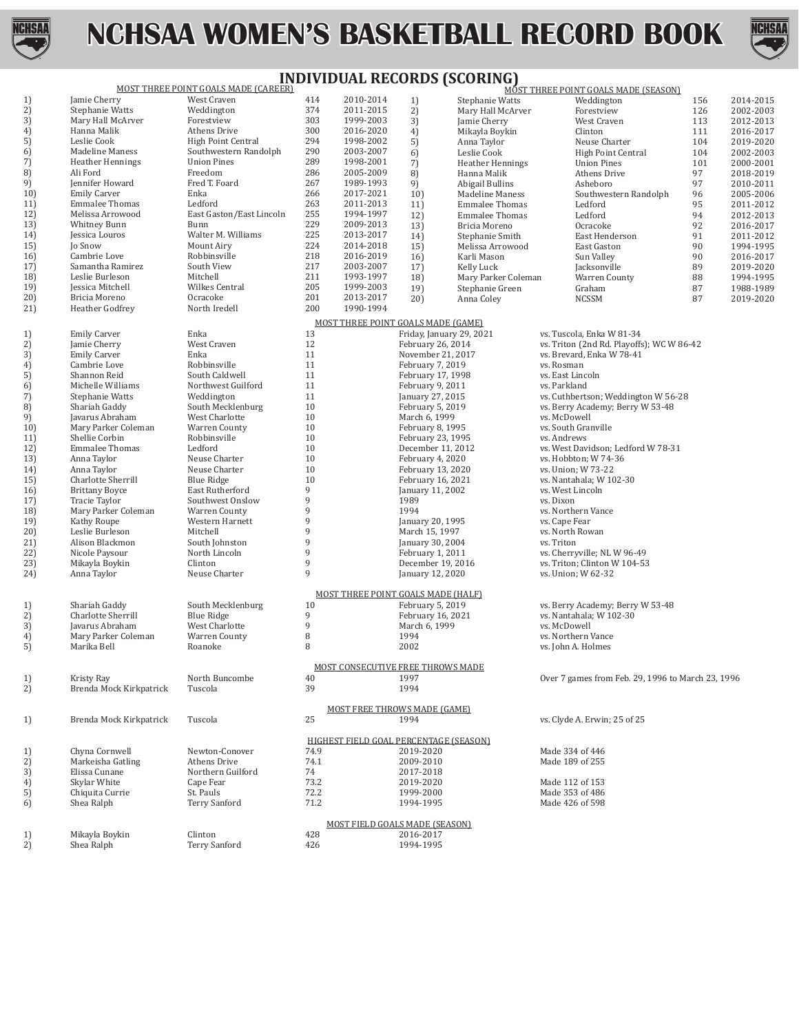

# **NCHSAA WOMEN'S BASKETBALL RECORD BOOK**



#### **INDIVIDUAL RECORDS (SCORING)**

|     |                         | MOST THREE POINT GOALS MADE (CAREER) |      |                                        |                   |                          | <b>MOST THREE POINT GOALS MADE (SEASON)</b>       |     |           |
|-----|-------------------------|--------------------------------------|------|----------------------------------------|-------------------|--------------------------|---------------------------------------------------|-----|-----------|
| 1)  | Jamie Cherry            | West Craven                          | 414  | 2010-2014                              | 1)                | Stephanie Watts          | Weddington                                        | 156 | 2014-2015 |
| 2)  | Stephanie Watts         | Weddington                           | 374  | 2011-2015                              | 2)                | Mary Hall McArver        | Forestview                                        | 126 | 2002-2003 |
| 3)  | Mary Hall McArver       | Forestview                           | 303  | 1999-2003                              | 3)                | Jamie Cherry             | West Craven                                       | 113 | 2012-2013 |
| 4)  | Hanna Malik             | Athens Drive                         | 300  | 2016-2020                              | 4)                | Mikayla Boykin           | Clinton                                           | 111 | 2016-2017 |
|     | Leslie Cook             | High Point Central                   | 294  | 1998-2002                              |                   |                          |                                                   |     |           |
| 5)  | <b>Madeline Maness</b>  |                                      | 290  |                                        | 5)                | Anna Taylor              | Neuse Charter                                     | 104 | 2019-2020 |
| 6)  |                         | Southwestern Randolph                |      | 2003-2007                              | 6)                | Leslie Cook              | High Point Central                                | 104 | 2002-2003 |
| 7)  | <b>Heather Hennings</b> | <b>Union Pines</b>                   | 289  | 1998-2001                              | 7)                | <b>Heather Hennings</b>  | <b>Union Pines</b>                                | 101 | 2000-2001 |
| 8)  | Ali Ford                | Freedom                              | 286  | 2005-2009                              | 8)                | Hanna Malik              | Athens Drive                                      | 97  | 2018-2019 |
| 9)  | Jennifer Howard         | Fred T. Foard                        | 267  | 1989-1993                              | 9)                | Abigail Bullins          | Asheboro                                          | 97  | 2010-2011 |
| 10) | <b>Emily Carver</b>     | Enka                                 | 266  | 2017-2021                              | 10)               | Madeline Maness          | Southwestern Randolph                             | 96  | 2005-2006 |
| 11) | <b>Emmalee Thomas</b>   | Ledford                              | 263  | 2011-2013                              | 11)               | <b>Emmalee Thomas</b>    | Ledford                                           | 95  | 2011-2012 |
| 12) | Melissa Arrowood        | East Gaston/East Lincoln             | 255  | 1994-1997                              | 12)               | <b>Emmalee Thomas</b>    | Ledford                                           | 94  | 2012-2013 |
| 13) | <b>Whitney Bunn</b>     | Bunn                                 | 229  | 2009-2013                              |                   | <b>Bricia Moreno</b>     | Ocracoke                                          |     |           |
|     | <b>Jessica Louros</b>   | Walter M. Williams                   | 225  |                                        | 13)               |                          |                                                   | 92  | 2016-2017 |
| 14) |                         |                                      |      | 2013-2017                              | 14)               | Stephanie Smith          | East Henderson                                    | 91  | 2011-2012 |
| 15) | Jo Snow                 | Mount Airy                           | 224  | 2014-2018                              | 15)               | Melissa Arrowood         | East Gaston                                       | 90  | 1994-1995 |
| 16) | Cambrie Love            | Robbinsville                         | 218  | 2016-2019                              | 16)               | Karli Mason              | Sun Valley                                        | 90  | 2016-2017 |
| 17) | Samantha Ramirez        | South View                           | 217  | 2003-2007                              | 17)               | Kelly Luck               | Jacksonville                                      | 89  | 2019-2020 |
| 18) | Leslie Burleson         | Mitchell                             | 211  | 1993-1997                              | 18)               | Mary Parker Coleman      | Warren County                                     | 88  | 1994-1995 |
| 19) | Jessica Mitchell        | Wilkes Central                       | 205  | 1999-2003                              | 19)               | Stephanie Green          | Graham                                            | 87  | 1988-1989 |
| 20) | Bricia Moreno           | Ocracoke                             | 201  | 2013-2017                              | 20                | Anna Coley               | <b>NCSSM</b>                                      | 87  | 2019-2020 |
| 21) | Heather Godfrey         | North Iredell                        | 200  | 1990-1994                              |                   |                          |                                                   |     |           |
|     |                         |                                      |      |                                        |                   |                          |                                                   |     |           |
|     |                         |                                      |      | MOST THREE POINT GOALS MADE (GAME)     |                   |                          |                                                   |     |           |
| 1)  | <b>Emily Carver</b>     | Enka                                 | 13   |                                        |                   | Friday, January 29, 2021 | vs. Tuscola, Enka W 81-34                         |     |           |
| 2)  | Jamie Cherry            | West Craven                          | 12   |                                        | February 26, 2014 |                          | vs. Triton (2nd Rd. Playoffs); WC W 86-42         |     |           |
| 3)  | <b>Emily Carver</b>     | Enka                                 | 11   |                                        | November 21, 2017 |                          | vs. Brevard, Enka W 78-41                         |     |           |
|     | Cambrie Love            | Robbinsville                         | 11   |                                        | February 7, 2019  |                          | vs. Rosman                                        |     |           |
| 4)  |                         |                                      |      |                                        |                   |                          |                                                   |     |           |
| 5)  | Shannon Reid            | South Caldwell                       | 11   |                                        | February 17, 1998 |                          | vs. East Lincoln                                  |     |           |
| 6)  | Michelle Williams       | Northwest Guilford                   | 11   |                                        | February 9, 2011  |                          | vs. Parkland                                      |     |           |
| 7)  | Stephanie Watts         | Weddington                           | 11   |                                        | January 27, 2015  |                          | vs. Cuthbertson; Weddington W 56-28               |     |           |
| 8)  | Shariah Gaddy           | South Mecklenburg                    | 10   |                                        | February 5, 2019  |                          | vs. Berry Academy; Berry W 53-48                  |     |           |
| 9)  | Javarus Abraham         | West Charlotte                       | 10   |                                        | March 6, 1999     |                          | vs. McDowell                                      |     |           |
| 10) | Mary Parker Coleman     | Warren County                        | 10   |                                        | February 8, 1995  |                          | vs. South Granville                               |     |           |
| 11) | Shellie Corbin          | Robbinsville                         | 10   |                                        | February 23, 1995 |                          | vs. Andrews                                       |     |           |
|     | <b>Emmalee Thomas</b>   | Ledford                              | 10   |                                        |                   |                          | vs. West Davidson; Ledford W 78-31                |     |           |
| 12) |                         |                                      |      |                                        | December 11, 2012 |                          |                                                   |     |           |
| 13) | Anna Taylor             | Neuse Charter                        | 10   |                                        | February 4, 2020  |                          | vs. Hobbton; W 74-36                              |     |           |
| 14) | Anna Taylor             | Neuse Charter                        | 10   |                                        | February 13, 2020 |                          | vs. Union; W 73-22                                |     |           |
| 15) | Charlotte Sherrill      | <b>Blue Ridge</b>                    | 10   |                                        | February 16, 2021 |                          | vs. Nantahala; W 102-30                           |     |           |
| 16) | <b>Brittany Boyce</b>   | East Rutherford                      | 9    |                                        | January 11, 2002  |                          | vs. West Lincoln                                  |     |           |
| 17) | Tracie Taylor           | Southwest Onslow                     | 9    |                                        | 1989              |                          | vs. Dixon                                         |     |           |
| 18) | Mary Parker Coleman     | Warren County                        | 9    |                                        | 1994              |                          | vs. Northern Vance                                |     |           |
| 19) | Kathy Roupe             | Western Harnett                      | 9    |                                        | January 20, 1995  |                          | vs. Cape Fear                                     |     |           |
|     | Leslie Burleson         |                                      | 9    |                                        |                   |                          |                                                   |     |           |
| 20) |                         | Mitchell                             |      |                                        | March 15, 1997    |                          | vs. North Rowan                                   |     |           |
| 21) | Alison Blackmon         | South Johnston                       | 9    |                                        | January 30, 2004  |                          | vs. Triton                                        |     |           |
| 22) | Nicole Paysour          | North Lincoln                        | 9    |                                        | February 1, 2011  |                          | vs. Cherryville; NLW 96-49                        |     |           |
| 23) | Mikayla Boykin          | Clinton                              | 9    |                                        | December 19, 2016 |                          | vs. Triton; Clinton W 104-53                      |     |           |
| 24) | Anna Taylor             | Neuse Charter                        | 9    |                                        | January 12, 2020  |                          | vs. Union; W 62-32                                |     |           |
|     |                         |                                      |      |                                        |                   |                          |                                                   |     |           |
|     |                         |                                      |      | MOST THREE POINT GOALS MADE (HALF)     |                   |                          |                                                   |     |           |
| 1)  | Shariah Gaddy           | South Mecklenburg                    | 10   |                                        | February 5, 2019  |                          | vs. Berry Academy; Berry W 53-48                  |     |           |
| 2)  | Charlotte Sherrill      | <b>Blue Ridge</b>                    | 9    |                                        | February 16, 2021 |                          | vs. Nantahala; W 102-30                           |     |           |
| 3)  | Javarus Abraham         | West Charlotte                       | 9    |                                        | March 6, 1999     |                          | vs. McDowell                                      |     |           |
|     |                         |                                      |      |                                        |                   |                          |                                                   |     |           |
| 4)  | Mary Parker Coleman     | Warren County                        | 8    |                                        | 1994              |                          | vs. Northern Vance                                |     |           |
| 5)  | Marika Bell             | Roanoke                              | 8    |                                        | 2002              |                          | vs. John A. Holmes                                |     |           |
|     |                         |                                      |      |                                        |                   |                          |                                                   |     |           |
|     |                         |                                      |      | MOST CONSECUTIVE FREE THROWS MADE      |                   |                          |                                                   |     |           |
| 1)  | Kristy Ray              | North Buncombe                       | 40   |                                        | 1997              |                          | Over 7 games from Feb. 29, 1996 to March 23, 1996 |     |           |
| 2)  | Brenda Mock Kirkpatrick | Tuscola                              | 39   |                                        | 1994              |                          |                                                   |     |           |
|     |                         |                                      |      |                                        |                   |                          |                                                   |     |           |
|     |                         |                                      |      | MOST FREE THROWS MADE (GAME)           |                   |                          |                                                   |     |           |
| 1)  | Brenda Mock Kirkpatrick | Tuscola                              | 25   |                                        | 1994              |                          | vs. Clyde A. Erwin; 25 of 25                      |     |           |
|     |                         |                                      |      |                                        |                   |                          |                                                   |     |           |
|     |                         |                                      |      |                                        |                   |                          |                                                   |     |           |
|     |                         |                                      |      | HIGHEST FIELD GOAL PERCENTAGE (SEASON) |                   |                          |                                                   |     |           |
| 1)  | Chyna Cornwell          | Newton-Conover                       | 74.9 |                                        | 2019-2020         |                          | Made 334 of 446                                   |     |           |
| 2)  | Markeisha Gatling       | Athens Drive                         | 74.1 |                                        | 2009-2010         |                          | Made 189 of 255                                   |     |           |
| 3)  | Elissa Cunane           | Northern Guilford                    | 74   |                                        | 2017-2018         |                          |                                                   |     |           |
| 4)  | Skylar White            | Cape Fear                            | 73.2 |                                        | 2019-2020         |                          | Made 112 of 153                                   |     |           |
| 5)  | Chiquita Currie         | St. Pauls                            | 72.2 |                                        | 1999-2000         |                          | Made 353 of 486                                   |     |           |
| 6)  | Shea Ralph              | Terry Sanford                        | 71.2 |                                        | 1994-1995         |                          | Made 426 of 598                                   |     |           |
|     |                         |                                      |      |                                        |                   |                          |                                                   |     |           |
|     |                         |                                      |      | <b>MOST FIELD GOALS MADE (SEASON)</b>  |                   |                          |                                                   |     |           |
|     |                         |                                      |      |                                        |                   |                          |                                                   |     |           |
| 1)  | Mikayla Boykin          | Clinton                              | 428  |                                        | 2016-2017         |                          |                                                   |     |           |
| 2)  | Shea Ralph              | <b>Terry Sanford</b>                 | 426  |                                        | 1994-1995         |                          |                                                   |     |           |
|     |                         |                                      |      |                                        |                   |                          |                                                   |     |           |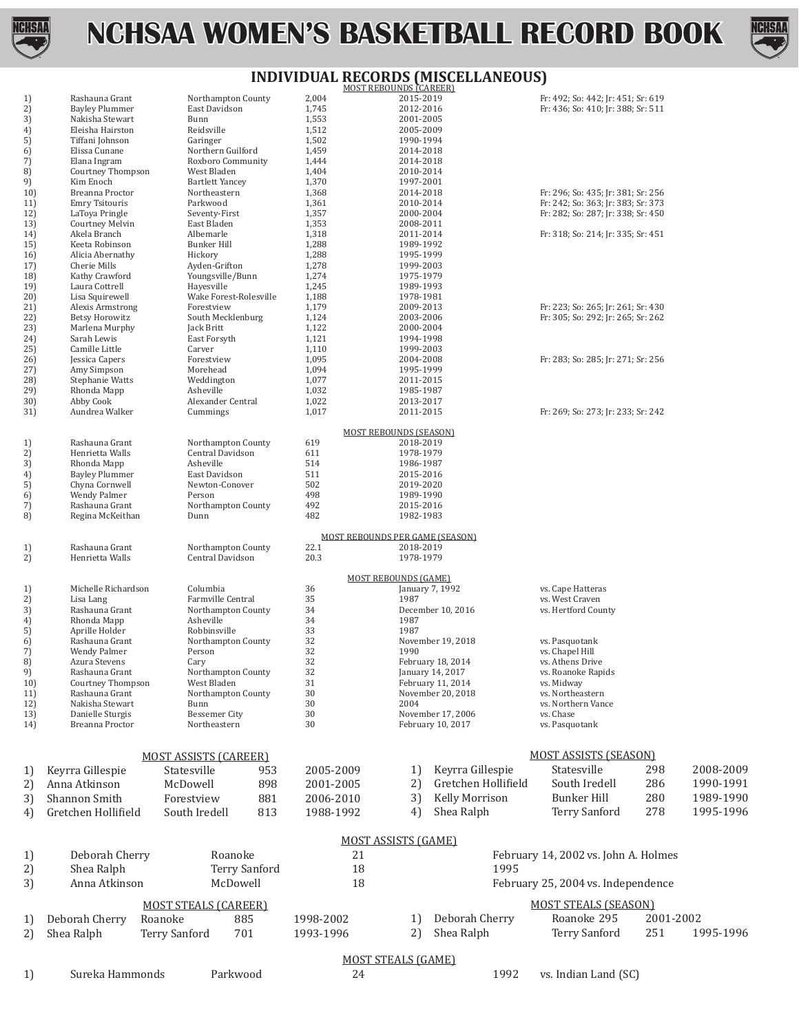

## **NCHSAA WOMEN'S BASKETBALL RECORD BOOK**



### **INDIVIDUAL RECORDS (MISCELLANEOUS)**

|                       |                                                                                                                                                                                                                                                                                                                                                                                                                                                                                                                                                                                                                                                                                                                                                                                                                            |                                                                                                                                                                                                                                                                                                                                                                                                                                                                                                                                                                                                                                                                                                                                           | <b>MOST REBOUNDS (CAREER)</b>                                                                                                                                                                                                                                                                                                                                           |                      |                                                                                                                                                                                                                                                                                                                                                                                                                                                                                                                                                                                                                                                                           |                                                             |                                                                                                                                                                                                                                                                                                              |
|-----------------------|----------------------------------------------------------------------------------------------------------------------------------------------------------------------------------------------------------------------------------------------------------------------------------------------------------------------------------------------------------------------------------------------------------------------------------------------------------------------------------------------------------------------------------------------------------------------------------------------------------------------------------------------------------------------------------------------------------------------------------------------------------------------------------------------------------------------------|-------------------------------------------------------------------------------------------------------------------------------------------------------------------------------------------------------------------------------------------------------------------------------------------------------------------------------------------------------------------------------------------------------------------------------------------------------------------------------------------------------------------------------------------------------------------------------------------------------------------------------------------------------------------------------------------------------------------------------------------|-------------------------------------------------------------------------------------------------------------------------------------------------------------------------------------------------------------------------------------------------------------------------------------------------------------------------------------------------------------------------|----------------------|---------------------------------------------------------------------------------------------------------------------------------------------------------------------------------------------------------------------------------------------------------------------------------------------------------------------------------------------------------------------------------------------------------------------------------------------------------------------------------------------------------------------------------------------------------------------------------------------------------------------------------------------------------------------------|-------------------------------------------------------------|--------------------------------------------------------------------------------------------------------------------------------------------------------------------------------------------------------------------------------------------------------------------------------------------------------------|
| Rashauna Grant        | Northampton County                                                                                                                                                                                                                                                                                                                                                                                                                                                                                                                                                                                                                                                                                                                                                                                                         | 2,004                                                                                                                                                                                                                                                                                                                                                                                                                                                                                                                                                                                                                                                                                                                                     | 2015-2019                                                                                                                                                                                                                                                                                                                                                               |                      | Fr: 492; So: 442; Jr: 451; Sr: 619                                                                                                                                                                                                                                                                                                                                                                                                                                                                                                                                                                                                                                        |                                                             |                                                                                                                                                                                                                                                                                                              |
| <b>Bayley Plummer</b> | East Davidson                                                                                                                                                                                                                                                                                                                                                                                                                                                                                                                                                                                                                                                                                                                                                                                                              | 1,745                                                                                                                                                                                                                                                                                                                                                                                                                                                                                                                                                                                                                                                                                                                                     | 2012-2016                                                                                                                                                                                                                                                                                                                                                               |                      | Fr: 436; So: 410; Jr: 388; Sr: 511                                                                                                                                                                                                                                                                                                                                                                                                                                                                                                                                                                                                                                        |                                                             |                                                                                                                                                                                                                                                                                                              |
|                       |                                                                                                                                                                                                                                                                                                                                                                                                                                                                                                                                                                                                                                                                                                                                                                                                                            |                                                                                                                                                                                                                                                                                                                                                                                                                                                                                                                                                                                                                                                                                                                                           |                                                                                                                                                                                                                                                                                                                                                                         |                      |                                                                                                                                                                                                                                                                                                                                                                                                                                                                                                                                                                                                                                                                           |                                                             |                                                                                                                                                                                                                                                                                                              |
|                       |                                                                                                                                                                                                                                                                                                                                                                                                                                                                                                                                                                                                                                                                                                                                                                                                                            |                                                                                                                                                                                                                                                                                                                                                                                                                                                                                                                                                                                                                                                                                                                                           |                                                                                                                                                                                                                                                                                                                                                                         |                      |                                                                                                                                                                                                                                                                                                                                                                                                                                                                                                                                                                                                                                                                           |                                                             |                                                                                                                                                                                                                                                                                                              |
|                       |                                                                                                                                                                                                                                                                                                                                                                                                                                                                                                                                                                                                                                                                                                                                                                                                                            |                                                                                                                                                                                                                                                                                                                                                                                                                                                                                                                                                                                                                                                                                                                                           |                                                                                                                                                                                                                                                                                                                                                                         |                      |                                                                                                                                                                                                                                                                                                                                                                                                                                                                                                                                                                                                                                                                           |                                                             |                                                                                                                                                                                                                                                                                                              |
|                       |                                                                                                                                                                                                                                                                                                                                                                                                                                                                                                                                                                                                                                                                                                                                                                                                                            |                                                                                                                                                                                                                                                                                                                                                                                                                                                                                                                                                                                                                                                                                                                                           |                                                                                                                                                                                                                                                                                                                                                                         |                      |                                                                                                                                                                                                                                                                                                                                                                                                                                                                                                                                                                                                                                                                           |                                                             |                                                                                                                                                                                                                                                                                                              |
|                       |                                                                                                                                                                                                                                                                                                                                                                                                                                                                                                                                                                                                                                                                                                                                                                                                                            |                                                                                                                                                                                                                                                                                                                                                                                                                                                                                                                                                                                                                                                                                                                                           |                                                                                                                                                                                                                                                                                                                                                                         |                      |                                                                                                                                                                                                                                                                                                                                                                                                                                                                                                                                                                                                                                                                           |                                                             |                                                                                                                                                                                                                                                                                                              |
|                       |                                                                                                                                                                                                                                                                                                                                                                                                                                                                                                                                                                                                                                                                                                                                                                                                                            |                                                                                                                                                                                                                                                                                                                                                                                                                                                                                                                                                                                                                                                                                                                                           |                                                                                                                                                                                                                                                                                                                                                                         |                      |                                                                                                                                                                                                                                                                                                                                                                                                                                                                                                                                                                                                                                                                           |                                                             |                                                                                                                                                                                                                                                                                                              |
|                       |                                                                                                                                                                                                                                                                                                                                                                                                                                                                                                                                                                                                                                                                                                                                                                                                                            |                                                                                                                                                                                                                                                                                                                                                                                                                                                                                                                                                                                                                                                                                                                                           |                                                                                                                                                                                                                                                                                                                                                                         |                      |                                                                                                                                                                                                                                                                                                                                                                                                                                                                                                                                                                                                                                                                           |                                                             |                                                                                                                                                                                                                                                                                                              |
|                       |                                                                                                                                                                                                                                                                                                                                                                                                                                                                                                                                                                                                                                                                                                                                                                                                                            |                                                                                                                                                                                                                                                                                                                                                                                                                                                                                                                                                                                                                                                                                                                                           |                                                                                                                                                                                                                                                                                                                                                                         |                      |                                                                                                                                                                                                                                                                                                                                                                                                                                                                                                                                                                                                                                                                           |                                                             |                                                                                                                                                                                                                                                                                                              |
|                       |                                                                                                                                                                                                                                                                                                                                                                                                                                                                                                                                                                                                                                                                                                                                                                                                                            |                                                                                                                                                                                                                                                                                                                                                                                                                                                                                                                                                                                                                                                                                                                                           |                                                                                                                                                                                                                                                                                                                                                                         |                      |                                                                                                                                                                                                                                                                                                                                                                                                                                                                                                                                                                                                                                                                           |                                                             |                                                                                                                                                                                                                                                                                                              |
|                       |                                                                                                                                                                                                                                                                                                                                                                                                                                                                                                                                                                                                                                                                                                                                                                                                                            |                                                                                                                                                                                                                                                                                                                                                                                                                                                                                                                                                                                                                                                                                                                                           |                                                                                                                                                                                                                                                                                                                                                                         |                      |                                                                                                                                                                                                                                                                                                                                                                                                                                                                                                                                                                                                                                                                           |                                                             |                                                                                                                                                                                                                                                                                                              |
|                       |                                                                                                                                                                                                                                                                                                                                                                                                                                                                                                                                                                                                                                                                                                                                                                                                                            |                                                                                                                                                                                                                                                                                                                                                                                                                                                                                                                                                                                                                                                                                                                                           |                                                                                                                                                                                                                                                                                                                                                                         |                      |                                                                                                                                                                                                                                                                                                                                                                                                                                                                                                                                                                                                                                                                           |                                                             |                                                                                                                                                                                                                                                                                                              |
|                       |                                                                                                                                                                                                                                                                                                                                                                                                                                                                                                                                                                                                                                                                                                                                                                                                                            |                                                                                                                                                                                                                                                                                                                                                                                                                                                                                                                                                                                                                                                                                                                                           |                                                                                                                                                                                                                                                                                                                                                                         |                      |                                                                                                                                                                                                                                                                                                                                                                                                                                                                                                                                                                                                                                                                           |                                                             |                                                                                                                                                                                                                                                                                                              |
|                       |                                                                                                                                                                                                                                                                                                                                                                                                                                                                                                                                                                                                                                                                                                                                                                                                                            |                                                                                                                                                                                                                                                                                                                                                                                                                                                                                                                                                                                                                                                                                                                                           |                                                                                                                                                                                                                                                                                                                                                                         |                      |                                                                                                                                                                                                                                                                                                                                                                                                                                                                                                                                                                                                                                                                           |                                                             |                                                                                                                                                                                                                                                                                                              |
|                       |                                                                                                                                                                                                                                                                                                                                                                                                                                                                                                                                                                                                                                                                                                                                                                                                                            |                                                                                                                                                                                                                                                                                                                                                                                                                                                                                                                                                                                                                                                                                                                                           |                                                                                                                                                                                                                                                                                                                                                                         |                      |                                                                                                                                                                                                                                                                                                                                                                                                                                                                                                                                                                                                                                                                           |                                                             |                                                                                                                                                                                                                                                                                                              |
|                       |                                                                                                                                                                                                                                                                                                                                                                                                                                                                                                                                                                                                                                                                                                                                                                                                                            |                                                                                                                                                                                                                                                                                                                                                                                                                                                                                                                                                                                                                                                                                                                                           |                                                                                                                                                                                                                                                                                                                                                                         |                      |                                                                                                                                                                                                                                                                                                                                                                                                                                                                                                                                                                                                                                                                           |                                                             |                                                                                                                                                                                                                                                                                                              |
|                       |                                                                                                                                                                                                                                                                                                                                                                                                                                                                                                                                                                                                                                                                                                                                                                                                                            |                                                                                                                                                                                                                                                                                                                                                                                                                                                                                                                                                                                                                                                                                                                                           |                                                                                                                                                                                                                                                                                                                                                                         |                      |                                                                                                                                                                                                                                                                                                                                                                                                                                                                                                                                                                                                                                                                           |                                                             |                                                                                                                                                                                                                                                                                                              |
|                       |                                                                                                                                                                                                                                                                                                                                                                                                                                                                                                                                                                                                                                                                                                                                                                                                                            |                                                                                                                                                                                                                                                                                                                                                                                                                                                                                                                                                                                                                                                                                                                                           |                                                                                                                                                                                                                                                                                                                                                                         |                      |                                                                                                                                                                                                                                                                                                                                                                                                                                                                                                                                                                                                                                                                           |                                                             |                                                                                                                                                                                                                                                                                                              |
|                       |                                                                                                                                                                                                                                                                                                                                                                                                                                                                                                                                                                                                                                                                                                                                                                                                                            |                                                                                                                                                                                                                                                                                                                                                                                                                                                                                                                                                                                                                                                                                                                                           |                                                                                                                                                                                                                                                                                                                                                                         |                      |                                                                                                                                                                                                                                                                                                                                                                                                                                                                                                                                                                                                                                                                           |                                                             |                                                                                                                                                                                                                                                                                                              |
|                       |                                                                                                                                                                                                                                                                                                                                                                                                                                                                                                                                                                                                                                                                                                                                                                                                                            |                                                                                                                                                                                                                                                                                                                                                                                                                                                                                                                                                                                                                                                                                                                                           |                                                                                                                                                                                                                                                                                                                                                                         |                      |                                                                                                                                                                                                                                                                                                                                                                                                                                                                                                                                                                                                                                                                           |                                                             |                                                                                                                                                                                                                                                                                                              |
|                       |                                                                                                                                                                                                                                                                                                                                                                                                                                                                                                                                                                                                                                                                                                                                                                                                                            |                                                                                                                                                                                                                                                                                                                                                                                                                                                                                                                                                                                                                                                                                                                                           |                                                                                                                                                                                                                                                                                                                                                                         |                      |                                                                                                                                                                                                                                                                                                                                                                                                                                                                                                                                                                                                                                                                           |                                                             |                                                                                                                                                                                                                                                                                                              |
|                       |                                                                                                                                                                                                                                                                                                                                                                                                                                                                                                                                                                                                                                                                                                                                                                                                                            |                                                                                                                                                                                                                                                                                                                                                                                                                                                                                                                                                                                                                                                                                                                                           |                                                                                                                                                                                                                                                                                                                                                                         |                      |                                                                                                                                                                                                                                                                                                                                                                                                                                                                                                                                                                                                                                                                           |                                                             |                                                                                                                                                                                                                                                                                                              |
|                       |                                                                                                                                                                                                                                                                                                                                                                                                                                                                                                                                                                                                                                                                                                                                                                                                                            |                                                                                                                                                                                                                                                                                                                                                                                                                                                                                                                                                                                                                                                                                                                                           |                                                                                                                                                                                                                                                                                                                                                                         |                      |                                                                                                                                                                                                                                                                                                                                                                                                                                                                                                                                                                                                                                                                           |                                                             |                                                                                                                                                                                                                                                                                                              |
|                       |                                                                                                                                                                                                                                                                                                                                                                                                                                                                                                                                                                                                                                                                                                                                                                                                                            |                                                                                                                                                                                                                                                                                                                                                                                                                                                                                                                                                                                                                                                                                                                                           |                                                                                                                                                                                                                                                                                                                                                                         |                      |                                                                                                                                                                                                                                                                                                                                                                                                                                                                                                                                                                                                                                                                           |                                                             |                                                                                                                                                                                                                                                                                                              |
|                       |                                                                                                                                                                                                                                                                                                                                                                                                                                                                                                                                                                                                                                                                                                                                                                                                                            |                                                                                                                                                                                                                                                                                                                                                                                                                                                                                                                                                                                                                                                                                                                                           |                                                                                                                                                                                                                                                                                                                                                                         |                      |                                                                                                                                                                                                                                                                                                                                                                                                                                                                                                                                                                                                                                                                           |                                                             |                                                                                                                                                                                                                                                                                                              |
|                       |                                                                                                                                                                                                                                                                                                                                                                                                                                                                                                                                                                                                                                                                                                                                                                                                                            |                                                                                                                                                                                                                                                                                                                                                                                                                                                                                                                                                                                                                                                                                                                                           |                                                                                                                                                                                                                                                                                                                                                                         |                      |                                                                                                                                                                                                                                                                                                                                                                                                                                                                                                                                                                                                                                                                           |                                                             |                                                                                                                                                                                                                                                                                                              |
|                       |                                                                                                                                                                                                                                                                                                                                                                                                                                                                                                                                                                                                                                                                                                                                                                                                                            |                                                                                                                                                                                                                                                                                                                                                                                                                                                                                                                                                                                                                                                                                                                                           |                                                                                                                                                                                                                                                                                                                                                                         |                      |                                                                                                                                                                                                                                                                                                                                                                                                                                                                                                                                                                                                                                                                           |                                                             |                                                                                                                                                                                                                                                                                                              |
|                       |                                                                                                                                                                                                                                                                                                                                                                                                                                                                                                                                                                                                                                                                                                                                                                                                                            |                                                                                                                                                                                                                                                                                                                                                                                                                                                                                                                                                                                                                                                                                                                                           |                                                                                                                                                                                                                                                                                                                                                                         |                      |                                                                                                                                                                                                                                                                                                                                                                                                                                                                                                                                                                                                                                                                           |                                                             |                                                                                                                                                                                                                                                                                                              |
|                       |                                                                                                                                                                                                                                                                                                                                                                                                                                                                                                                                                                                                                                                                                                                                                                                                                            |                                                                                                                                                                                                                                                                                                                                                                                                                                                                                                                                                                                                                                                                                                                                           |                                                                                                                                                                                                                                                                                                                                                                         |                      |                                                                                                                                                                                                                                                                                                                                                                                                                                                                                                                                                                                                                                                                           |                                                             |                                                                                                                                                                                                                                                                                                              |
|                       |                                                                                                                                                                                                                                                                                                                                                                                                                                                                                                                                                                                                                                                                                                                                                                                                                            |                                                                                                                                                                                                                                                                                                                                                                                                                                                                                                                                                                                                                                                                                                                                           |                                                                                                                                                                                                                                                                                                                                                                         |                      |                                                                                                                                                                                                                                                                                                                                                                                                                                                                                                                                                                                                                                                                           |                                                             |                                                                                                                                                                                                                                                                                                              |
|                       |                                                                                                                                                                                                                                                                                                                                                                                                                                                                                                                                                                                                                                                                                                                                                                                                                            |                                                                                                                                                                                                                                                                                                                                                                                                                                                                                                                                                                                                                                                                                                                                           |                                                                                                                                                                                                                                                                                                                                                                         |                      |                                                                                                                                                                                                                                                                                                                                                                                                                                                                                                                                                                                                                                                                           |                                                             |                                                                                                                                                                                                                                                                                                              |
|                       |                                                                                                                                                                                                                                                                                                                                                                                                                                                                                                                                                                                                                                                                                                                                                                                                                            |                                                                                                                                                                                                                                                                                                                                                                                                                                                                                                                                                                                                                                                                                                                                           |                                                                                                                                                                                                                                                                                                                                                                         |                      |                                                                                                                                                                                                                                                                                                                                                                                                                                                                                                                                                                                                                                                                           |                                                             |                                                                                                                                                                                                                                                                                                              |
|                       |                                                                                                                                                                                                                                                                                                                                                                                                                                                                                                                                                                                                                                                                                                                                                                                                                            |                                                                                                                                                                                                                                                                                                                                                                                                                                                                                                                                                                                                                                                                                                                                           |                                                                                                                                                                                                                                                                                                                                                                         |                      |                                                                                                                                                                                                                                                                                                                                                                                                                                                                                                                                                                                                                                                                           |                                                             |                                                                                                                                                                                                                                                                                                              |
|                       |                                                                                                                                                                                                                                                                                                                                                                                                                                                                                                                                                                                                                                                                                                                                                                                                                            |                                                                                                                                                                                                                                                                                                                                                                                                                                                                                                                                                                                                                                                                                                                                           |                                                                                                                                                                                                                                                                                                                                                                         |                      |                                                                                                                                                                                                                                                                                                                                                                                                                                                                                                                                                                                                                                                                           |                                                             |                                                                                                                                                                                                                                                                                                              |
|                       |                                                                                                                                                                                                                                                                                                                                                                                                                                                                                                                                                                                                                                                                                                                                                                                                                            |                                                                                                                                                                                                                                                                                                                                                                                                                                                                                                                                                                                                                                                                                                                                           |                                                                                                                                                                                                                                                                                                                                                                         |                      |                                                                                                                                                                                                                                                                                                                                                                                                                                                                                                                                                                                                                                                                           |                                                             |                                                                                                                                                                                                                                                                                                              |
|                       |                                                                                                                                                                                                                                                                                                                                                                                                                                                                                                                                                                                                                                                                                                                                                                                                                            |                                                                                                                                                                                                                                                                                                                                                                                                                                                                                                                                                                                                                                                                                                                                           |                                                                                                                                                                                                                                                                                                                                                                         |                      |                                                                                                                                                                                                                                                                                                                                                                                                                                                                                                                                                                                                                                                                           |                                                             |                                                                                                                                                                                                                                                                                                              |
|                       |                                                                                                                                                                                                                                                                                                                                                                                                                                                                                                                                                                                                                                                                                                                                                                                                                            |                                                                                                                                                                                                                                                                                                                                                                                                                                                                                                                                                                                                                                                                                                                                           |                                                                                                                                                                                                                                                                                                                                                                         |                      |                                                                                                                                                                                                                                                                                                                                                                                                                                                                                                                                                                                                                                                                           |                                                             |                                                                                                                                                                                                                                                                                                              |
|                       |                                                                                                                                                                                                                                                                                                                                                                                                                                                                                                                                                                                                                                                                                                                                                                                                                            |                                                                                                                                                                                                                                                                                                                                                                                                                                                                                                                                                                                                                                                                                                                                           |                                                                                                                                                                                                                                                                                                                                                                         |                      |                                                                                                                                                                                                                                                                                                                                                                                                                                                                                                                                                                                                                                                                           |                                                             |                                                                                                                                                                                                                                                                                                              |
|                       |                                                                                                                                                                                                                                                                                                                                                                                                                                                                                                                                                                                                                                                                                                                                                                                                                            |                                                                                                                                                                                                                                                                                                                                                                                                                                                                                                                                                                                                                                                                                                                                           |                                                                                                                                                                                                                                                                                                                                                                         |                      |                                                                                                                                                                                                                                                                                                                                                                                                                                                                                                                                                                                                                                                                           |                                                             |                                                                                                                                                                                                                                                                                                              |
|                       |                                                                                                                                                                                                                                                                                                                                                                                                                                                                                                                                                                                                                                                                                                                                                                                                                            |                                                                                                                                                                                                                                                                                                                                                                                                                                                                                                                                                                                                                                                                                                                                           |                                                                                                                                                                                                                                                                                                                                                                         |                      |                                                                                                                                                                                                                                                                                                                                                                                                                                                                                                                                                                                                                                                                           |                                                             |                                                                                                                                                                                                                                                                                                              |
|                       |                                                                                                                                                                                                                                                                                                                                                                                                                                                                                                                                                                                                                                                                                                                                                                                                                            |                                                                                                                                                                                                                                                                                                                                                                                                                                                                                                                                                                                                                                                                                                                                           |                                                                                                                                                                                                                                                                                                                                                                         |                      |                                                                                                                                                                                                                                                                                                                                                                                                                                                                                                                                                                                                                                                                           |                                                             |                                                                                                                                                                                                                                                                                                              |
|                       |                                                                                                                                                                                                                                                                                                                                                                                                                                                                                                                                                                                                                                                                                                                                                                                                                            |                                                                                                                                                                                                                                                                                                                                                                                                                                                                                                                                                                                                                                                                                                                                           |                                                                                                                                                                                                                                                                                                                                                                         |                      |                                                                                                                                                                                                                                                                                                                                                                                                                                                                                                                                                                                                                                                                           |                                                             |                                                                                                                                                                                                                                                                                                              |
|                       |                                                                                                                                                                                                                                                                                                                                                                                                                                                                                                                                                                                                                                                                                                                                                                                                                            |                                                                                                                                                                                                                                                                                                                                                                                                                                                                                                                                                                                                                                                                                                                                           |                                                                                                                                                                                                                                                                                                                                                                         |                      |                                                                                                                                                                                                                                                                                                                                                                                                                                                                                                                                                                                                                                                                           |                                                             |                                                                                                                                                                                                                                                                                                              |
|                       |                                                                                                                                                                                                                                                                                                                                                                                                                                                                                                                                                                                                                                                                                                                                                                                                                            |                                                                                                                                                                                                                                                                                                                                                                                                                                                                                                                                                                                                                                                                                                                                           |                                                                                                                                                                                                                                                                                                                                                                         |                      |                                                                                                                                                                                                                                                                                                                                                                                                                                                                                                                                                                                                                                                                           |                                                             |                                                                                                                                                                                                                                                                                                              |
|                       |                                                                                                                                                                                                                                                                                                                                                                                                                                                                                                                                                                                                                                                                                                                                                                                                                            |                                                                                                                                                                                                                                                                                                                                                                                                                                                                                                                                                                                                                                                                                                                                           |                                                                                                                                                                                                                                                                                                                                                                         |                      |                                                                                                                                                                                                                                                                                                                                                                                                                                                                                                                                                                                                                                                                           |                                                             |                                                                                                                                                                                                                                                                                                              |
|                       |                                                                                                                                                                                                                                                                                                                                                                                                                                                                                                                                                                                                                                                                                                                                                                                                                            |                                                                                                                                                                                                                                                                                                                                                                                                                                                                                                                                                                                                                                                                                                                                           |                                                                                                                                                                                                                                                                                                                                                                         |                      |                                                                                                                                                                                                                                                                                                                                                                                                                                                                                                                                                                                                                                                                           |                                                             |                                                                                                                                                                                                                                                                                                              |
|                       |                                                                                                                                                                                                                                                                                                                                                                                                                                                                                                                                                                                                                                                                                                                                                                                                                            |                                                                                                                                                                                                                                                                                                                                                                                                                                                                                                                                                                                                                                                                                                                                           |                                                                                                                                                                                                                                                                                                                                                                         |                      |                                                                                                                                                                                                                                                                                                                                                                                                                                                                                                                                                                                                                                                                           |                                                             |                                                                                                                                                                                                                                                                                                              |
|                       |                                                                                                                                                                                                                                                                                                                                                                                                                                                                                                                                                                                                                                                                                                                                                                                                                            |                                                                                                                                                                                                                                                                                                                                                                                                                                                                                                                                                                                                                                                                                                                                           |                                                                                                                                                                                                                                                                                                                                                                         |                      |                                                                                                                                                                                                                                                                                                                                                                                                                                                                                                                                                                                                                                                                           |                                                             |                                                                                                                                                                                                                                                                                                              |
|                       |                                                                                                                                                                                                                                                                                                                                                                                                                                                                                                                                                                                                                                                                                                                                                                                                                            |                                                                                                                                                                                                                                                                                                                                                                                                                                                                                                                                                                                                                                                                                                                                           |                                                                                                                                                                                                                                                                                                                                                                         |                      |                                                                                                                                                                                                                                                                                                                                                                                                                                                                                                                                                                                                                                                                           |                                                             |                                                                                                                                                                                                                                                                                                              |
|                       |                                                                                                                                                                                                                                                                                                                                                                                                                                                                                                                                                                                                                                                                                                                                                                                                                            |                                                                                                                                                                                                                                                                                                                                                                                                                                                                                                                                                                                                                                                                                                                                           |                                                                                                                                                                                                                                                                                                                                                                         |                      |                                                                                                                                                                                                                                                                                                                                                                                                                                                                                                                                                                                                                                                                           |                                                             |                                                                                                                                                                                                                                                                                                              |
| Rashauna Grant        | Northampton County                                                                                                                                                                                                                                                                                                                                                                                                                                                                                                                                                                                                                                                                                                                                                                                                         | 32                                                                                                                                                                                                                                                                                                                                                                                                                                                                                                                                                                                                                                                                                                                                        |                                                                                                                                                                                                                                                                                                                                                                         | November 19, 2018    | vs. Pasquotank                                                                                                                                                                                                                                                                                                                                                                                                                                                                                                                                                                                                                                                            |                                                             |                                                                                                                                                                                                                                                                                                              |
| Wendy Palmer          |                                                                                                                                                                                                                                                                                                                                                                                                                                                                                                                                                                                                                                                                                                                                                                                                                            |                                                                                                                                                                                                                                                                                                                                                                                                                                                                                                                                                                                                                                                                                                                                           |                                                                                                                                                                                                                                                                                                                                                                         |                      | vs. Chapel Hill                                                                                                                                                                                                                                                                                                                                                                                                                                                                                                                                                                                                                                                           |                                                             |                                                                                                                                                                                                                                                                                                              |
|                       |                                                                                                                                                                                                                                                                                                                                                                                                                                                                                                                                                                                                                                                                                                                                                                                                                            |                                                                                                                                                                                                                                                                                                                                                                                                                                                                                                                                                                                                                                                                                                                                           |                                                                                                                                                                                                                                                                                                                                                                         |                      |                                                                                                                                                                                                                                                                                                                                                                                                                                                                                                                                                                                                                                                                           |                                                             |                                                                                                                                                                                                                                                                                                              |
|                       | Person                                                                                                                                                                                                                                                                                                                                                                                                                                                                                                                                                                                                                                                                                                                                                                                                                     | 32                                                                                                                                                                                                                                                                                                                                                                                                                                                                                                                                                                                                                                                                                                                                        | 1990                                                                                                                                                                                                                                                                                                                                                                    |                      |                                                                                                                                                                                                                                                                                                                                                                                                                                                                                                                                                                                                                                                                           |                                                             |                                                                                                                                                                                                                                                                                                              |
| Azura Stevens         | Cary                                                                                                                                                                                                                                                                                                                                                                                                                                                                                                                                                                                                                                                                                                                                                                                                                       | 32                                                                                                                                                                                                                                                                                                                                                                                                                                                                                                                                                                                                                                                                                                                                        |                                                                                                                                                                                                                                                                                                                                                                         | February 18, 2014    | vs. Athens Drive                                                                                                                                                                                                                                                                                                                                                                                                                                                                                                                                                                                                                                                          |                                                             |                                                                                                                                                                                                                                                                                                              |
| Rashauna Grant        | Northampton County                                                                                                                                                                                                                                                                                                                                                                                                                                                                                                                                                                                                                                                                                                                                                                                                         | 32                                                                                                                                                                                                                                                                                                                                                                                                                                                                                                                                                                                                                                                                                                                                        |                                                                                                                                                                                                                                                                                                                                                                         | January 14, 2017     | vs. Roanoke Rapids                                                                                                                                                                                                                                                                                                                                                                                                                                                                                                                                                                                                                                                        |                                                             |                                                                                                                                                                                                                                                                                                              |
| Courtney Thompson     | West Bladen                                                                                                                                                                                                                                                                                                                                                                                                                                                                                                                                                                                                                                                                                                                                                                                                                | 31                                                                                                                                                                                                                                                                                                                                                                                                                                                                                                                                                                                                                                                                                                                                        |                                                                                                                                                                                                                                                                                                                                                                         | February 11, 2014    | vs. Midway                                                                                                                                                                                                                                                                                                                                                                                                                                                                                                                                                                                                                                                                |                                                             |                                                                                                                                                                                                                                                                                                              |
| Rashauna Grant        | Northampton County                                                                                                                                                                                                                                                                                                                                                                                                                                                                                                                                                                                                                                                                                                                                                                                                         | 30                                                                                                                                                                                                                                                                                                                                                                                                                                                                                                                                                                                                                                                                                                                                        |                                                                                                                                                                                                                                                                                                                                                                         | November 20, 2018    | vs. Northeastern                                                                                                                                                                                                                                                                                                                                                                                                                                                                                                                                                                                                                                                          |                                                             |                                                                                                                                                                                                                                                                                                              |
| Nakisha Stewart       | Bunn                                                                                                                                                                                                                                                                                                                                                                                                                                                                                                                                                                                                                                                                                                                                                                                                                       | 30                                                                                                                                                                                                                                                                                                                                                                                                                                                                                                                                                                                                                                                                                                                                        | 2004                                                                                                                                                                                                                                                                                                                                                                    |                      | vs. Northern Vance                                                                                                                                                                                                                                                                                                                                                                                                                                                                                                                                                                                                                                                        |                                                             |                                                                                                                                                                                                                                                                                                              |
| Danielle Sturgis      | <b>Bessemer City</b>                                                                                                                                                                                                                                                                                                                                                                                                                                                                                                                                                                                                                                                                                                                                                                                                       | 30                                                                                                                                                                                                                                                                                                                                                                                                                                                                                                                                                                                                                                                                                                                                        |                                                                                                                                                                                                                                                                                                                                                                         | November 17, 2006    | vs. Chase                                                                                                                                                                                                                                                                                                                                                                                                                                                                                                                                                                                                                                                                 |                                                             |                                                                                                                                                                                                                                                                                                              |
| Breanna Proctor       | Northeastern                                                                                                                                                                                                                                                                                                                                                                                                                                                                                                                                                                                                                                                                                                                                                                                                               | 30                                                                                                                                                                                                                                                                                                                                                                                                                                                                                                                                                                                                                                                                                                                                        |                                                                                                                                                                                                                                                                                                                                                                         | February 10, 2017    | vs. Pasquotank                                                                                                                                                                                                                                                                                                                                                                                                                                                                                                                                                                                                                                                            |                                                             |                                                                                                                                                                                                                                                                                                              |
|                       |                                                                                                                                                                                                                                                                                                                                                                                                                                                                                                                                                                                                                                                                                                                                                                                                                            |                                                                                                                                                                                                                                                                                                                                                                                                                                                                                                                                                                                                                                                                                                                                           |                                                                                                                                                                                                                                                                                                                                                                         |                      |                                                                                                                                                                                                                                                                                                                                                                                                                                                                                                                                                                                                                                                                           |                                                             |                                                                                                                                                                                                                                                                                                              |
|                       |                                                                                                                                                                                                                                                                                                                                                                                                                                                                                                                                                                                                                                                                                                                                                                                                                            |                                                                                                                                                                                                                                                                                                                                                                                                                                                                                                                                                                                                                                                                                                                                           |                                                                                                                                                                                                                                                                                                                                                                         |                      |                                                                                                                                                                                                                                                                                                                                                                                                                                                                                                                                                                                                                                                                           |                                                             |                                                                                                                                                                                                                                                                                                              |
|                       | <b>MOST ASSISTS (CAREER)</b>                                                                                                                                                                                                                                                                                                                                                                                                                                                                                                                                                                                                                                                                                                                                                                                               |                                                                                                                                                                                                                                                                                                                                                                                                                                                                                                                                                                                                                                                                                                                                           |                                                                                                                                                                                                                                                                                                                                                                         |                      | <b>MOST ASSISTS (SEASON)</b>                                                                                                                                                                                                                                                                                                                                                                                                                                                                                                                                                                                                                                              |                                                             |                                                                                                                                                                                                                                                                                                              |
| Keyrra Gillespie      | Statesville<br>953                                                                                                                                                                                                                                                                                                                                                                                                                                                                                                                                                                                                                                                                                                                                                                                                         | 2005-2009                                                                                                                                                                                                                                                                                                                                                                                                                                                                                                                                                                                                                                                                                                                                 | 1)                                                                                                                                                                                                                                                                                                                                                                      | Keyrra Gillespie     | Statesville                                                                                                                                                                                                                                                                                                                                                                                                                                                                                                                                                                                                                                                               | 298                                                         | 2008-2009                                                                                                                                                                                                                                                                                                    |
| Anna Atkinson         | McDowell<br>898                                                                                                                                                                                                                                                                                                                                                                                                                                                                                                                                                                                                                                                                                                                                                                                                            | 2001-2005                                                                                                                                                                                                                                                                                                                                                                                                                                                                                                                                                                                                                                                                                                                                 | 2)                                                                                                                                                                                                                                                                                                                                                                      | Gretchen Hollifield  | South Iredell                                                                                                                                                                                                                                                                                                                                                                                                                                                                                                                                                                                                                                                             | 286                                                         | 1990-1991                                                                                                                                                                                                                                                                                                    |
|                       |                                                                                                                                                                                                                                                                                                                                                                                                                                                                                                                                                                                                                                                                                                                                                                                                                            |                                                                                                                                                                                                                                                                                                                                                                                                                                                                                                                                                                                                                                                                                                                                           |                                                                                                                                                                                                                                                                                                                                                                         |                      |                                                                                                                                                                                                                                                                                                                                                                                                                                                                                                                                                                                                                                                                           |                                                             |                                                                                                                                                                                                                                                                                                              |
| Shannon Smith         | 881<br>Forestview                                                                                                                                                                                                                                                                                                                                                                                                                                                                                                                                                                                                                                                                                                                                                                                                          | 2006-2010                                                                                                                                                                                                                                                                                                                                                                                                                                                                                                                                                                                                                                                                                                                                 | 3)                                                                                                                                                                                                                                                                                                                                                                      | Kelly Morrison       | <b>Bunker Hill</b>                                                                                                                                                                                                                                                                                                                                                                                                                                                                                                                                                                                                                                                        | 280                                                         | 1989-1990                                                                                                                                                                                                                                                                                                    |
| Gretchen Hollifield   | South Iredell<br>813                                                                                                                                                                                                                                                                                                                                                                                                                                                                                                                                                                                                                                                                                                                                                                                                       | 1988-1992                                                                                                                                                                                                                                                                                                                                                                                                                                                                                                                                                                                                                                                                                                                                 | 4)                                                                                                                                                                                                                                                                                                                                                                      | Shea Ralph           | Terry Sanford                                                                                                                                                                                                                                                                                                                                                                                                                                                                                                                                                                                                                                                             | 278                                                         | 1995-1996                                                                                                                                                                                                                                                                                                    |
|                       |                                                                                                                                                                                                                                                                                                                                                                                                                                                                                                                                                                                                                                                                                                                                                                                                                            |                                                                                                                                                                                                                                                                                                                                                                                                                                                                                                                                                                                                                                                                                                                                           |                                                                                                                                                                                                                                                                                                                                                                         |                      |                                                                                                                                                                                                                                                                                                                                                                                                                                                                                                                                                                                                                                                                           |                                                             |                                                                                                                                                                                                                                                                                                              |
|                       |                                                                                                                                                                                                                                                                                                                                                                                                                                                                                                                                                                                                                                                                                                                                                                                                                            |                                                                                                                                                                                                                                                                                                                                                                                                                                                                                                                                                                                                                                                                                                                                           |                                                                                                                                                                                                                                                                                                                                                                         |                      |                                                                                                                                                                                                                                                                                                                                                                                                                                                                                                                                                                                                                                                                           |                                                             |                                                                                                                                                                                                                                                                                                              |
|                       |                                                                                                                                                                                                                                                                                                                                                                                                                                                                                                                                                                                                                                                                                                                                                                                                                            |                                                                                                                                                                                                                                                                                                                                                                                                                                                                                                                                                                                                                                                                                                                                           | <b>MOST ASSISTS (GAME)</b>                                                                                                                                                                                                                                                                                                                                              |                      |                                                                                                                                                                                                                                                                                                                                                                                                                                                                                                                                                                                                                                                                           |                                                             |                                                                                                                                                                                                                                                                                                              |
| Deborah Cherry        | Roanoke                                                                                                                                                                                                                                                                                                                                                                                                                                                                                                                                                                                                                                                                                                                                                                                                                    | 21                                                                                                                                                                                                                                                                                                                                                                                                                                                                                                                                                                                                                                                                                                                                        |                                                                                                                                                                                                                                                                                                                                                                         |                      | February 14, 2002 vs. John A. Holmes                                                                                                                                                                                                                                                                                                                                                                                                                                                                                                                                                                                                                                      |                                                             |                                                                                                                                                                                                                                                                                                              |
| Shea Ralph            | Terry Sanford                                                                                                                                                                                                                                                                                                                                                                                                                                                                                                                                                                                                                                                                                                                                                                                                              | 18                                                                                                                                                                                                                                                                                                                                                                                                                                                                                                                                                                                                                                                                                                                                        |                                                                                                                                                                                                                                                                                                                                                                         | 1995                 |                                                                                                                                                                                                                                                                                                                                                                                                                                                                                                                                                                                                                                                                           |                                                             |                                                                                                                                                                                                                                                                                                              |
| Anna Atkinson         |                                                                                                                                                                                                                                                                                                                                                                                                                                                                                                                                                                                                                                                                                                                                                                                                                            | 18                                                                                                                                                                                                                                                                                                                                                                                                                                                                                                                                                                                                                                                                                                                                        |                                                                                                                                                                                                                                                                                                                                                                         |                      |                                                                                                                                                                                                                                                                                                                                                                                                                                                                                                                                                                                                                                                                           |                                                             |                                                                                                                                                                                                                                                                                                              |
|                       | McDowell                                                                                                                                                                                                                                                                                                                                                                                                                                                                                                                                                                                                                                                                                                                                                                                                                   |                                                                                                                                                                                                                                                                                                                                                                                                                                                                                                                                                                                                                                                                                                                                           |                                                                                                                                                                                                                                                                                                                                                                         |                      | February 25, 2004 vs. Independence                                                                                                                                                                                                                                                                                                                                                                                                                                                                                                                                                                                                                                        |                                                             |                                                                                                                                                                                                                                                                                                              |
|                       |                                                                                                                                                                                                                                                                                                                                                                                                                                                                                                                                                                                                                                                                                                                                                                                                                            |                                                                                                                                                                                                                                                                                                                                                                                                                                                                                                                                                                                                                                                                                                                                           |                                                                                                                                                                                                                                                                                                                                                                         |                      |                                                                                                                                                                                                                                                                                                                                                                                                                                                                                                                                                                                                                                                                           |                                                             |                                                                                                                                                                                                                                                                                                              |
|                       | <b>MOST STEALS (CAREER)</b>                                                                                                                                                                                                                                                                                                                                                                                                                                                                                                                                                                                                                                                                                                                                                                                                |                                                                                                                                                                                                                                                                                                                                                                                                                                                                                                                                                                                                                                                                                                                                           |                                                                                                                                                                                                                                                                                                                                                                         |                      | <b>MOST STEALS (SEASON)</b>                                                                                                                                                                                                                                                                                                                                                                                                                                                                                                                                                                                                                                               |                                                             |                                                                                                                                                                                                                                                                                                              |
| Deborah Cherry        | 885<br>Roanoke                                                                                                                                                                                                                                                                                                                                                                                                                                                                                                                                                                                                                                                                                                                                                                                                             | 1998-2002                                                                                                                                                                                                                                                                                                                                                                                                                                                                                                                                                                                                                                                                                                                                 | 1)                                                                                                                                                                                                                                                                                                                                                                      | Deborah Cherry       | Roanoke 295                                                                                                                                                                                                                                                                                                                                                                                                                                                                                                                                                                                                                                                               | 2001-2002                                                   |                                                                                                                                                                                                                                                                                                              |
| Shea Ralph            | 701<br><b>Terry Sanford</b>                                                                                                                                                                                                                                                                                                                                                                                                                                                                                                                                                                                                                                                                                                                                                                                                | 1993-1996                                                                                                                                                                                                                                                                                                                                                                                                                                                                                                                                                                                                                                                                                                                                 | 2)                                                                                                                                                                                                                                                                                                                                                                      | Shea Ralph           | Terry Sanford                                                                                                                                                                                                                                                                                                                                                                                                                                                                                                                                                                                                                                                             | 251                                                         | 1995-1996                                                                                                                                                                                                                                                                                                    |
|                       |                                                                                                                                                                                                                                                                                                                                                                                                                                                                                                                                                                                                                                                                                                                                                                                                                            |                                                                                                                                                                                                                                                                                                                                                                                                                                                                                                                                                                                                                                                                                                                                           |                                                                                                                                                                                                                                                                                                                                                                         |                      |                                                                                                                                                                                                                                                                                                                                                                                                                                                                                                                                                                                                                                                                           |                                                             |                                                                                                                                                                                                                                                                                                              |
|                       |                                                                                                                                                                                                                                                                                                                                                                                                                                                                                                                                                                                                                                                                                                                                                                                                                            |                                                                                                                                                                                                                                                                                                                                                                                                                                                                                                                                                                                                                                                                                                                                           |                                                                                                                                                                                                                                                                                                                                                                         |                      |                                                                                                                                                                                                                                                                                                                                                                                                                                                                                                                                                                                                                                                                           |                                                             |                                                                                                                                                                                                                                                                                                              |
| Sureka Hammonds       | Parkwood                                                                                                                                                                                                                                                                                                                                                                                                                                                                                                                                                                                                                                                                                                                                                                                                                   | 24                                                                                                                                                                                                                                                                                                                                                                                                                                                                                                                                                                                                                                                                                                                                        | <b>MOST STEALS (GAME)</b>                                                                                                                                                                                                                                                                                                                                               | 1992                 | vs. Indian Land (SC)                                                                                                                                                                                                                                                                                                                                                                                                                                                                                                                                                                                                                                                      |                                                             |                                                                                                                                                                                                                                                                                                              |
|                       | Nakisha Stewart<br>Eleisha Hairston<br>Tiffani Johnson<br>Elissa Cunane<br>Elana Ingram<br>Courtney Thompson<br>Kim Enoch<br>Breanna Proctor<br><b>Emry Tsitouris</b><br>LaToya Pringle<br>Courtney Melvin<br>Akela Branch<br>Keeta Robinson<br>Alicia Abernathy<br>Cherie Mills<br>Kathy Crawford<br>Laura Cottrell<br>Lisa Squirewell<br>Alexis Armstrong<br><b>Betsy Horowitz</b><br>Marlena Murphy<br>Sarah Lewis<br>Camille Little<br>Jessica Capers<br>Amy Simpson<br>Stephanie Watts<br>Rhonda Mapp<br>Abby Cook<br>Aundrea Walker<br>Rashauna Grant<br>Henrietta Walls<br>Rhonda Mapp<br><b>Bayley Plummer</b><br>Chyna Cornwell<br>Wendy Palmer<br>Rashauna Grant<br>Regina McKeithan<br>Rashauna Grant<br>Henrietta Walls<br>Michelle Richardson<br>Lisa Lang<br>Rashauna Grant<br>Rhonda Mapp<br>Aprille Holder | Bunn<br>Reidsville<br>Garinger<br>Northern Guilford<br>Roxboro Community<br>West Bladen<br><b>Bartlett Yancey</b><br>Northeastern<br>Parkwood<br>Seventy-First<br>East Bladen<br>Albemarle<br><b>Bunker Hill</b><br>Hickory<br>Ayden-Grifton<br>Youngsville/Bunn<br>Hayesville<br>Wake Forest-Rolesville<br>Forestview<br>South Mecklenburg<br>Jack Britt<br>East Forsyth<br>Carver<br>Forestview<br>Morehead<br>Weddington<br>Asheville<br>Alexander Central<br>Cummings<br>Northampton County<br>Central Davidson<br>Asheville<br>East Davidson<br>Newton-Conover<br>Person<br>Northampton County<br>Dunn<br>Northampton County<br>Central Davidson<br>Columbia<br>Farmville Central<br>Northampton County<br>Asheville<br>Robbinsville | 1,553<br>1,512<br>1,502<br>1,459<br>1,444<br>1,404<br>1,370<br>1,368<br>1,361<br>1,357<br>1,353<br>1,318<br>1,288<br>1,288<br>1,278<br>1,274<br>1,245<br>1,188<br>1,179<br>1,124<br>1,122<br>1,121<br>1,110<br>1,095<br>1,094<br>1,077<br>1,032<br>1,022<br>1,017<br>619<br>611<br>514<br>511<br>502<br>498<br>492<br>482<br>22.1<br>20.3<br>36<br>35<br>34<br>34<br>33 | 1987<br>1987<br>1987 | 2001-2005<br>2005-2009<br>1990-1994<br>2014-2018<br>2014-2018<br>2010-2014<br>1997-2001<br>2014-2018<br>2010-2014<br>2000-2004<br>2008-2011<br>2011-2014<br>1989-1992<br>1995-1999<br>1999-2003<br>1975-1979<br>1989-1993<br>1978-1981<br>2009-2013<br>2003-2006<br>2000-2004<br>1994-1998<br>1999-2003<br>2004-2008<br>1995-1999<br>2011-2015<br>1985-1987<br>2013-2017<br>2011-2015<br><b>MOST REBOUNDS (SEASON)</b><br>2018-2019<br>1978-1979<br>1986-1987<br>2015-2016<br>2019-2020<br>1989-1990<br>2015-2016<br>1982-1983<br><b>MOST REBOUNDS PER GAME (SEASON)</b><br>2018-2019<br>1978-1979<br><b>MOST REBOUNDS (GAME)</b><br>January 7, 1992<br>December 10, 2016 | vs. Cape Hatteras<br>vs. West Craven<br>vs. Hertford County | Fr: 296; So: 435; Jr: 381; Sr: 256<br>Fr: 242; So: 363; Jr: 383; Sr: 373<br>Fr: 282; So: 287; Jr: 338; Sr: 450<br>Fr: 318; So: 214; Jr: 335; Sr: 451<br>Fr: 223; So: 265; Jr: 261; Sr: 430<br>Fr: 305; So: 292; Jr: 265; Sr: 262<br>Fr: 283; So: 285; Jr: 271; Sr: 256<br>Fr: 269; So: 273; Jr: 233; Sr: 242 |